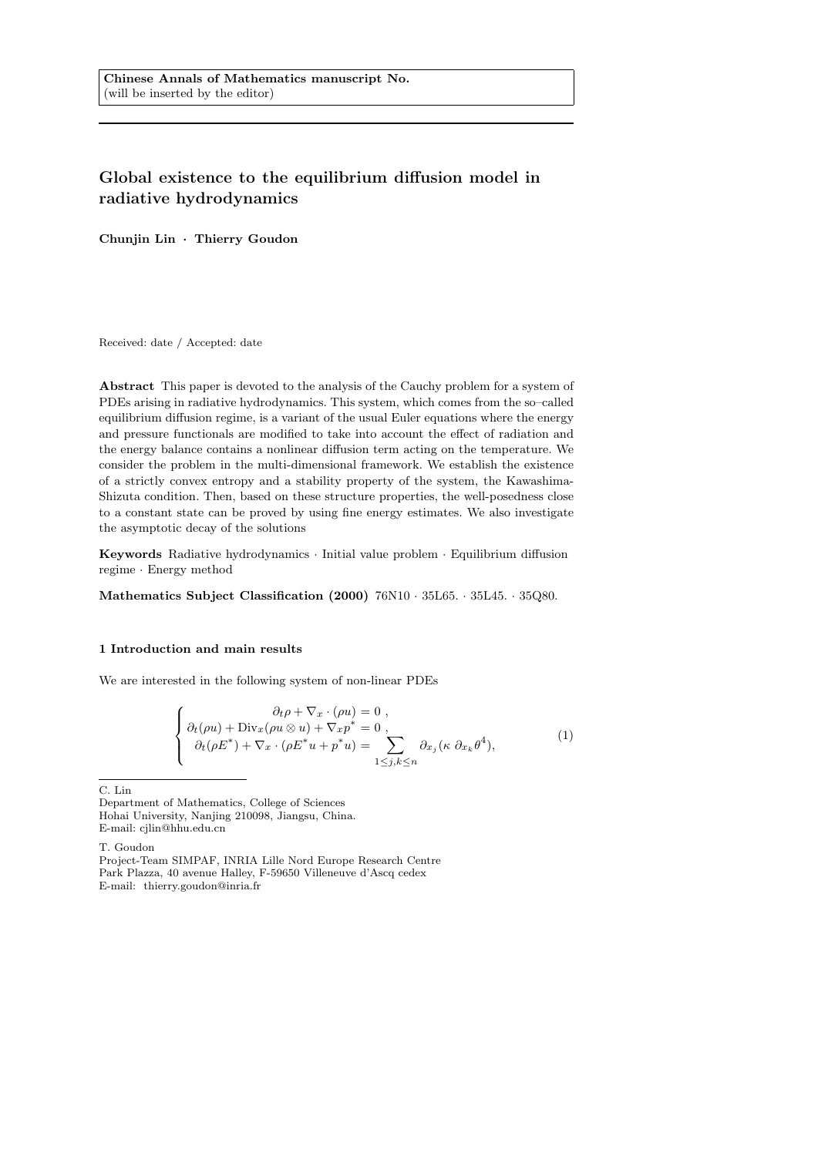# Global existence to the equilibrium diffusion model in radiative hydrodynamics

Chunjin Lin · Thierry Goudon

Received: date / Accepted: date

Abstract This paper is devoted to the analysis of the Cauchy problem for a system of PDEs arising in radiative hydrodynamics. This system, which comes from the so–called equilibrium diffusion regime, is a variant of the usual Euler equations where the energy and pressure functionals are modified to take into account the effect of radiation and the energy balance contains a nonlinear diffusion term acting on the temperature. We consider the problem in the multi-dimensional framework. We establish the existence of a strictly convex entropy and a stability property of the system, the Kawashima-Shizuta condition. Then, based on these structure properties, the well-posedness close to a constant state can be proved by using fine energy estimates. We also investigate the asymptotic decay of the solutions

Keywords Radiative hydrodynamics · Initial value problem · Equilibrium diffusion regime · Energy method

Mathematics Subject Classification (2000) 76N10 · 35L65. · 35L45. · 35Q80.

### 1 Introduction and main results

We are interested in the following system of non-linear PDEs

$$
\begin{cases}\n\partial_t \rho + \nabla_x \cdot (\rho u) = 0, \\
\partial_t (\rho u) + \text{Div}_x(\rho u \otimes u) + \nabla_x p^* = 0, \\
\partial_t (\rho E^*) + \nabla_x \cdot (\rho E^* u + p^* u) = \sum_{1 \leq j, k \leq n} \partial_{x_j} (\kappa \partial_{x_k} \theta^4),\n\end{cases} (1)
$$

C. Lin

T. Goudon

Department of Mathematics, College of Sciences Hohai University, Nanjing 210098, Jiangsu, China. E-mail: cjlin@hhu.edu.cn

Project-Team SIMPAF, INRIA Lille Nord Europe Research Centre Park Plazza, 40 avenue Halley, F-59650 Villeneuve d'Ascq cedex E-mail: thierry.goudon@inria.fr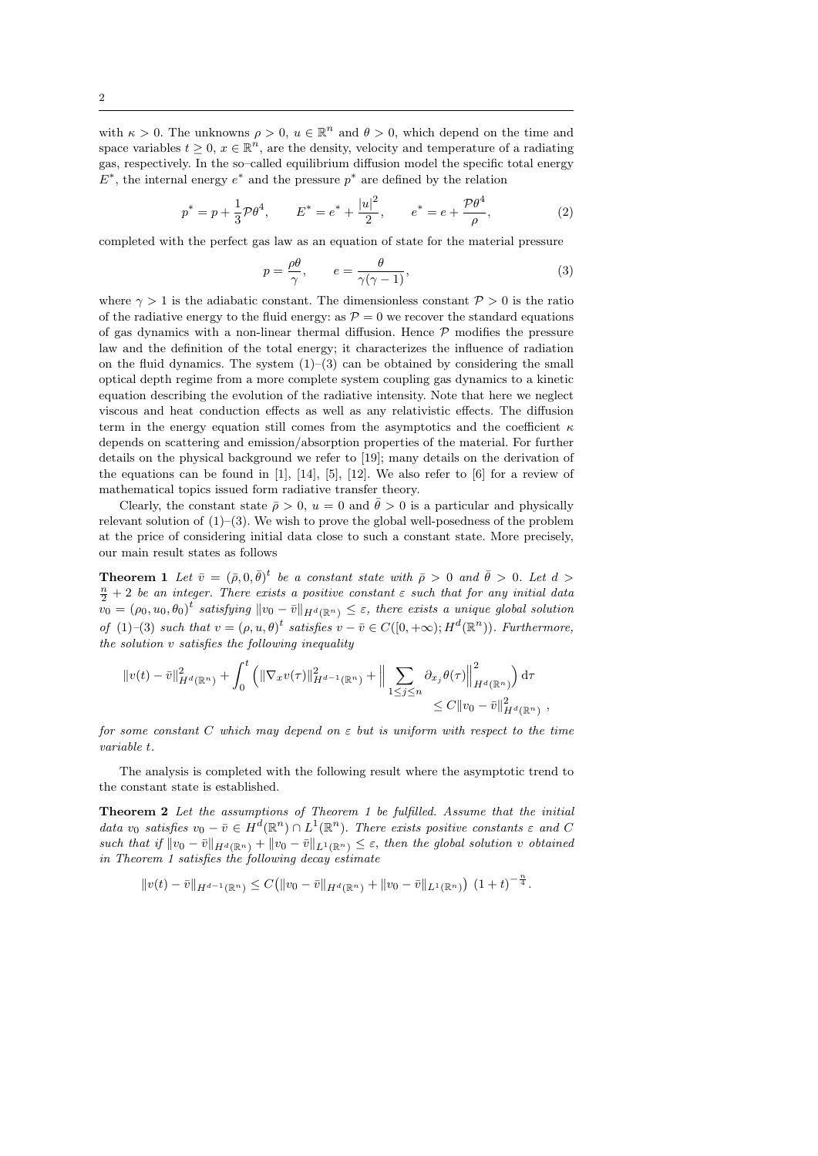with  $\kappa > 0$ . The unknowns  $\rho > 0$ ,  $u \in \mathbb{R}^n$  and  $\theta > 0$ , which depend on the time and space variables  $t \geq 0$ ,  $x \in \mathbb{R}^n$ , are the density, velocity and temperature of a radiating gas, respectively. In the so–called equilibrium diffusion model the specific total energy  $E^*$ , the internal energy  $e^*$  and the pressure  $p^*$  are defined by the relation

$$
p^* = p + \frac{1}{3}\mathcal{P}\theta^4, \qquad E^* = e^* + \frac{|u|^2}{2}, \qquad e^* = e + \frac{\mathcal{P}\theta^4}{\rho}, \tag{2}
$$

completed with the perfect gas law as an equation of state for the material pressure

$$
p = \frac{\rho \theta}{\gamma}, \qquad e = \frac{\theta}{\gamma(\gamma - 1)},\tag{3}
$$

where  $\gamma > 1$  is the adiabatic constant. The dimensionless constant  $\mathcal{P} > 0$  is the ratio of the radiative energy to the fluid energy: as  $P = 0$  we recover the standard equations of gas dynamics with a non-linear thermal diffusion. Hence  $P$  modifies the pressure law and the definition of the total energy; it characterizes the influence of radiation on the fluid dynamics. The system (1)–(3) can be obtained by considering the small optical depth regime from a more complete system coupling gas dynamics to a kinetic equation describing the evolution of the radiative intensity. Note that here we neglect viscous and heat conduction effects as well as any relativistic effects. The diffusion term in the energy equation still comes from the asymptotics and the coefficient  $\kappa$ depends on scattering and emission/absorption properties of the material. For further details on the physical background we refer to [19]; many details on the derivation of the equations can be found in  $[1]$ ,  $[14]$ ,  $[5]$ ,  $[12]$ . We also refer to  $[6]$  for a review of mathematical topics issued form radiative transfer theory.

Clearly, the constant state  $\bar{\rho} > 0$ ,  $u = 0$  and  $\bar{\theta} > 0$  is a particular and physically relevant solution of  $(1)$ – $(3)$ . We wish to prove the global well-posedness of the problem at the price of considering initial data close to such a constant state. More precisely, our main result states as follows

**Theorem 1** Let  $\bar{v} = (\bar{\rho}, 0, \bar{\theta})^t$  be a constant state with  $\bar{\rho} > 0$  and  $\bar{\theta} > 0$ . Let  $d >$  $\frac{n}{2}+2$  be an integer. There exists a positive constant  $\varepsilon$  such that for any initial data  $\tilde{v}_0 = (\rho_0, u_0, \theta_0)^t$  satisfying  $||v_0 - \bar{v}||_{H^d(\mathbb{R}^n)} \leq \varepsilon$ , there exists a unique global solution of (1)–(3) such that  $v = (\rho, u, \theta)^t$  satisfies  $v - \overline{v} \in C([0, +\infty); H^d(\mathbb{R}^n))$ . Furthermore, the solution v satisfies the following inequality

$$
||v(t) - \bar{v}||_{H^d(\mathbb{R}^n)}^2 + \int_0^t (||\nabla_x v(\tau)||_{H^{d-1}(\mathbb{R}^n)}^2 + ||\sum_{1 \le j \le n} \partial_{x_j} \theta(\tau)||_{H^d(\mathbb{R}^n)}^2) d\tau \n\le C ||v_0 - \bar{v}||_{H^d(\mathbb{R}^n)}^2,
$$

for some constant C which may depend on  $\varepsilon$  but is uniform with respect to the time variable t.

The analysis is completed with the following result where the asymptotic trend to the constant state is established.

Theorem 2 Let the assumptions of Theorem 1 be fulfilled. Assume that the initial data  $v_0$  satisfies  $v_0 - \bar{v} \in H^d(\mathbb{R}^n) \cap L^1(\mathbb{R}^n)$ . There exists positive constants  $\varepsilon$  and C such that if  $||v_0 - \bar{v}||_{H^d(\mathbb{R}^n)} + ||v_0 - \bar{v}||_{L^1(\mathbb{R}^n)} \leq \varepsilon$ , then the global solution v obtained in Theorem 1 satisfies the following decay estimate

$$
||v(t) - \bar{v}||_{H^{d-1}(\mathbb{R}^n)} \leq C(||v_0 - \bar{v}||_{H^d(\mathbb{R}^n)} + ||v_0 - \bar{v}||_{L^1(\mathbb{R}^n)})(1+t)^{-\frac{n}{4}}.
$$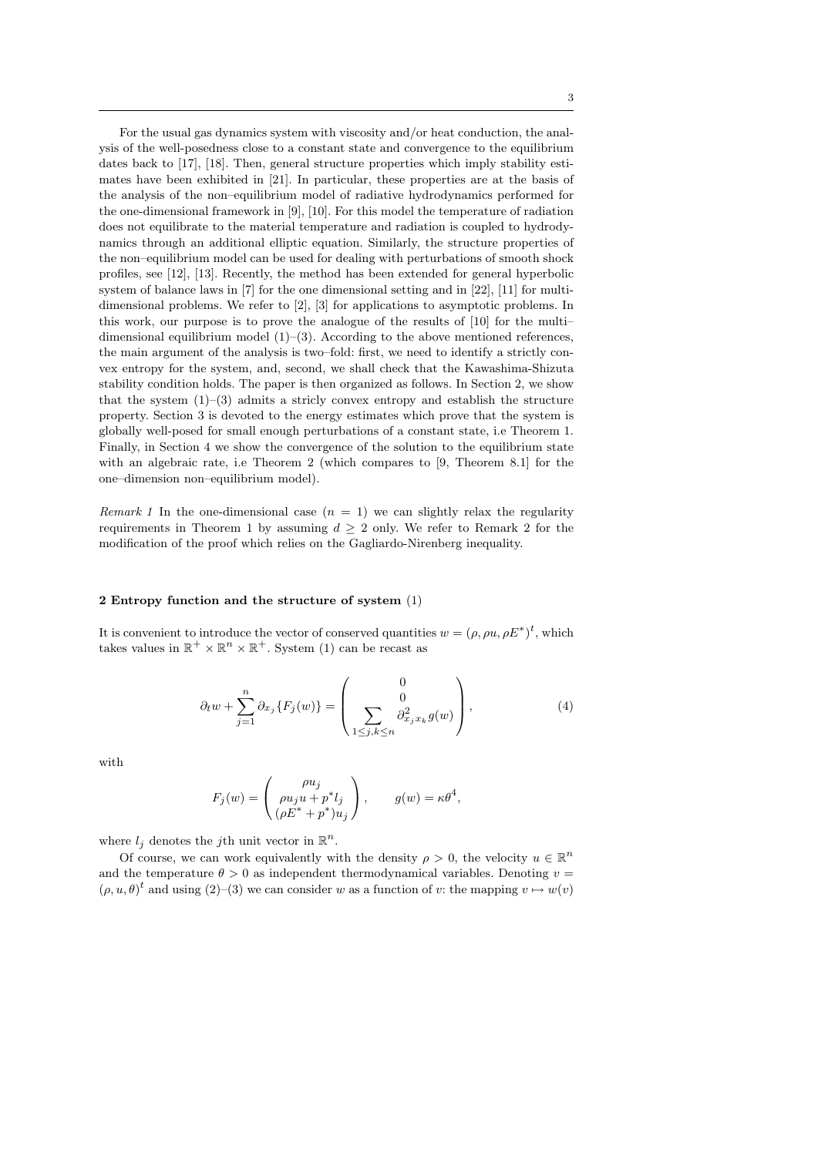For the usual gas dynamics system with viscosity and/or heat conduction, the analysis of the well-posedness close to a constant state and convergence to the equilibrium dates back to [17], [18]. Then, general structure properties which imply stability estimates have been exhibited in [21]. In particular, these properties are at the basis of the analysis of the non–equilibrium model of radiative hydrodynamics performed for the one-dimensional framework in [9], [10]. For this model the temperature of radiation does not equilibrate to the material temperature and radiation is coupled to hydrodynamics through an additional elliptic equation. Similarly, the structure properties of the non–equilibrium model can be used for dealing with perturbations of smooth shock profiles, see [12], [13]. Recently, the method has been extended for general hyperbolic system of balance laws in [7] for the one dimensional setting and in [22], [11] for multidimensional problems. We refer to [2], [3] for applications to asymptotic problems. In this work, our purpose is to prove the analogue of the results of [10] for the multi– dimensional equilibrium model  $(1)$ – $(3)$ . According to the above mentioned references, the main argument of the analysis is two–fold: first, we need to identify a strictly convex entropy for the system, and, second, we shall check that the Kawashima-Shizuta stability condition holds. The paper is then organized as follows. In Section 2, we show that the system  $(1)$ – $(3)$  admits a stricly convex entropy and establish the structure property. Section 3 is devoted to the energy estimates which prove that the system is globally well-posed for small enough perturbations of a constant state, i.e Theorem 1. Finally, in Section 4 we show the convergence of the solution to the equilibrium state with an algebraic rate, i.e Theorem 2 (which compares to [9, Theorem 8.1] for the one–dimension non–equilibrium model).

Remark 1 In the one-dimensional case  $(n = 1)$  we can slightly relax the regularity requirements in Theorem 1 by assuming  $d \geq 2$  only. We refer to Remark 2 for the modification of the proof which relies on the Gagliardo-Nirenberg inequality.

#### 2 Entropy function and the structure of system (1)

It is convenient to introduce the vector of conserved quantities  $w = (\rho, \rho u, \rho E^*)^t$ , which takes values in  $\mathbb{R}^+ \times \mathbb{R}^n \times \mathbb{R}^+$ . System (1) can be recast as

$$
\partial_t w + \sum_{j=1}^n \partial_{x_j} \{ F_j(w) \} = \begin{pmatrix} 0 \\ 0 \\ \sum_{1 \le j,k \le n} \partial_{x_j x_k}^2 g(w) \end{pmatrix}, \tag{4}
$$

with

$$
F_j(w)=\left(\begin{matrix}\rho u_j\\ \rho u_ju+p^*l_j\\ (\rho E^*+p^*)u_j\end{matrix}\right),\qquad g(w)=\kappa\theta^4,
$$

where  $l_j$  denotes the *j*th unit vector in  $\mathbb{R}^n$ .

Of course, we can work equivalently with the density  $\rho > 0$ , the velocity  $u \in \mathbb{R}^n$ and the temperature  $\theta > 0$  as independent thermodynamical variables. Denoting  $v =$  $(\rho, u, \theta)^t$  and using  $(2)$ – $(3)$  we can consider w as a function of v: the mapping  $v \mapsto w(v)$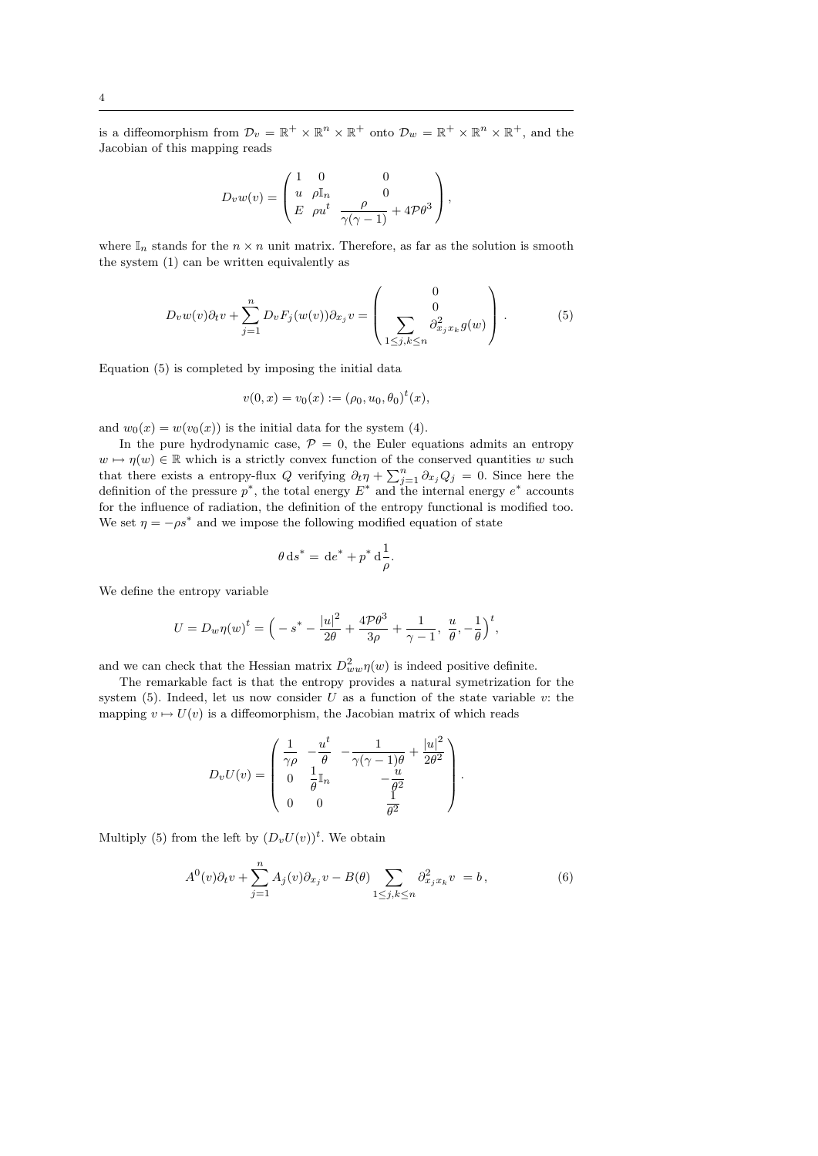is a diffeomorphism from  $\mathcal{D}_v = \mathbb{R}^+ \times \mathbb{R}^n \times \mathbb{R}^+$  onto  $\mathcal{D}_w = \mathbb{R}^+ \times \mathbb{R}^n \times \mathbb{R}^+$ , and the Jacobian of this mapping reads

$$
D_v w(v) = \begin{pmatrix} 1 & 0 & 0 \\ u & \rho \mathbb{I}_n & 0 \\ E & \rho u^t & \frac{\rho}{\gamma(\gamma - 1)} + 4\mathcal{P}\theta^3 \end{pmatrix},
$$

where  $\mathbb{I}_n$  stands for the  $n \times n$  unit matrix. Therefore, as far as the solution is smooth the system (1) can be written equivalently as

$$
D_v w(v) \partial_t v + \sum_{j=1}^n D_v F_j(w(v)) \partial_{x_j} v = \begin{pmatrix} 0 \\ 0 \\ \sum_{1 \le j,k \le n} \partial_{x_j x_k}^2 g(w) \end{pmatrix} . \tag{5}
$$

Equation (5) is completed by imposing the initial data

$$
v(0, x) = v_0(x) := (\rho_0, u_0, \theta_0)^t(x),
$$

and  $w_0(x) = w(v_0(x))$  is the initial data for the system (4).

In the pure hydrodynamic case,  $P = 0$ , the Euler equations admits an entropy  $w \mapsto \eta(w) \in \mathbb{R}$  which is a strictly convex function of the conserved quantities w such that there exists a entropy-flux Q verifying  $\partial_t \eta + \sum_{j=1}^n \partial_{x_j} Q_j = 0$ . Since here the definition of the pressure  $p^*$ , the total energy  $E^*$  and the internal energy  $e^*$  accounts for the influence of radiation, the definition of the entropy functional is modified too. We set  $\eta = -\rho s^*$  and we impose the following modified equation of state

$$
\theta \, \mathrm{d}s^* = \, \mathrm{d}e^* + p^* \, \mathrm{d}\frac{1}{\rho}.
$$

We define the entropy variable

$$
U = D_w \eta(w)^t = \left( -s^* - \frac{|u|^2}{2\theta} + \frac{4\mathcal{P}\theta^3}{3\rho} + \frac{1}{\gamma - 1}, \frac{u}{\theta}, -\frac{1}{\theta} \right)^t,
$$

and we can check that the Hessian matrix  $D^2_{ww}\eta(w)$  is indeed positive definite.

The remarkable fact is that the entropy provides a natural symetrization for the system  $(5)$ . Indeed, let us now consider U as a function of the state variable v: the mapping  $v \mapsto U(v)$  is a diffeomorphism, the Jacobian matrix of which reads

$$
D_v U(v) = \begin{pmatrix} \frac{1}{\gamma \rho} & -\frac{u^t}{\theta} & -\frac{1}{\gamma(\gamma - 1)\theta} + \frac{|u|^2}{2\theta^2} \\ 0 & \frac{1}{\theta} \mathbb{I}_n & -\frac{u}{\theta^2} \\ 0 & 0 & \frac{1}{\theta^2} \end{pmatrix}.
$$

Multiply (5) from the left by  $(D_vU(v))^t$ . We obtain

$$
A^{0}(v)\partial_{t}v + \sum_{j=1}^{n} A_{j}(v)\partial_{x_{j}}v - B(\theta) \sum_{1 \leq j,k \leq n} \partial_{x_{j}x_{k}}^{2}v = b, \qquad (6)
$$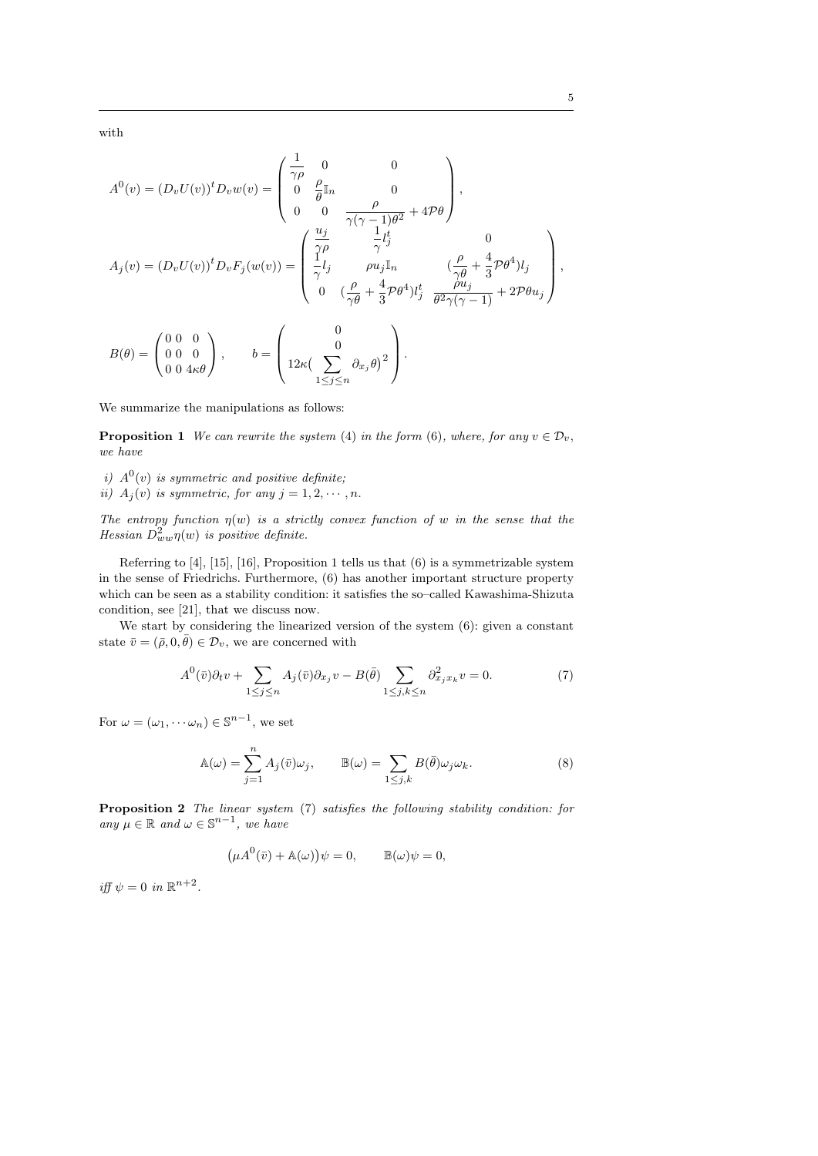with

$$
A^{0}(v) = (D_{v}U(v))^{t}D_{v}w(v) = \begin{pmatrix} \frac{1}{\gamma\rho} & 0 & 0 \\ 0 & \frac{\rho}{\theta}\mathbb{I}_{n} & 0 \\ 0 & 0 & \frac{\rho}{\gamma(\gamma-1)\theta^{2}} + 4\mathcal{P}\theta \end{pmatrix},
$$
  
\n
$$
A_{j}(v) = (D_{v}U(v))^{t}D_{v}F_{j}(w(v)) = \begin{pmatrix} \frac{u_{j}}{\gamma\rho} & \frac{1}{\gamma}t_{j}^{t} & 0 \\ \frac{1}{\gamma}t_{j} & \rho u_{j}\mathbb{I}_{n} & (\frac{\rho}{\gamma\theta} + \frac{4}{3}\mathcal{P}\theta^{4})t_{j} \\ 0 & (\frac{\rho}{\gamma\theta} + \frac{4}{3}\mathcal{P}\theta^{4})t_{j}^{t} & \frac{\rho u_{j}}{\theta^{2}\gamma(\gamma-1)} + 2\mathcal{P}\theta u_{j} \end{pmatrix},
$$
  
\n
$$
B(\theta) = \begin{pmatrix} 0 & 0 & 0 \\ 0 & 0 & 0 \\ 0 & 0 & 4\kappa\theta \end{pmatrix}, \qquad b = \begin{pmatrix} 0 & 0 & 0 \\ 12\kappa\left(\sum_{1 \leq j \leq n} \partial_{x_{j}}\theta\right)^{2} & 0 & 0 \\ 12\kappa\left(\sum_{1 \leq j \leq n} \partial_{x_{j}}\theta\right)^{2} & 0 & 0 \end{pmatrix}.
$$

We summarize the manipulations as follows:

**Proposition 1** We can rewrite the system (4) in the form (6), where, for any  $v \in \mathcal{D}_v$ , we have

- i)  $A^0(v)$  is symmetric and positive definite;
- ii)  $A_j(v)$  is symmetric, for any  $j = 1, 2, \dots, n$ .

The entropy function  $\eta(w)$  is a strictly convex function of w in the sense that the Hessian  $D^2_{ww}\eta(w)$  is positive definite.

Referring to [4], [15], [16], Proposition 1 tells us that (6) is a symmetrizable system in the sense of Friedrichs. Furthermore, (6) has another important structure property which can be seen as a stability condition: it satisfies the so–called Kawashima-Shizuta condition, see [21], that we discuss now.

We start by considering the linearized version of the system  $(6)$ : given a constant state  $\bar{v} = (\bar{\rho}, 0, \bar{\theta}) \in \mathcal{D}_v$ , we are concerned with

$$
A^{0}(\bar{v})\partial_{t}v + \sum_{1 \leq j \leq n} A_{j}(\bar{v})\partial_{x_{j}}v - B(\bar{\theta}) \sum_{1 \leq j,k \leq n} \partial_{x_{j}x_{k}}^{2}v = 0.
$$
 (7)

For  $\omega = (\omega_1, \dots \omega_n) \in \mathbb{S}^{n-1}$ , we set

$$
\mathbb{A}(\omega) = \sum_{j=1}^{n} A_j(\bar{v}) \omega_j, \qquad \mathbb{B}(\omega) = \sum_{1 \le j,k} B(\bar{\theta}) \omega_j \omega_k.
$$
 (8)

Proposition 2 The linear system (7) satisfies the following stability condition: for any  $\mu \in \mathbb{R}$  and  $\omega \in \mathbb{S}^{n-1}$ , we have

$$
(\mu A^0(\bar{v}) + A(\omega))\psi = 0, \qquad \mathbb{B}(\omega)\psi = 0,
$$

iff  $\psi = 0$  in  $\mathbb{R}^{n+2}$ .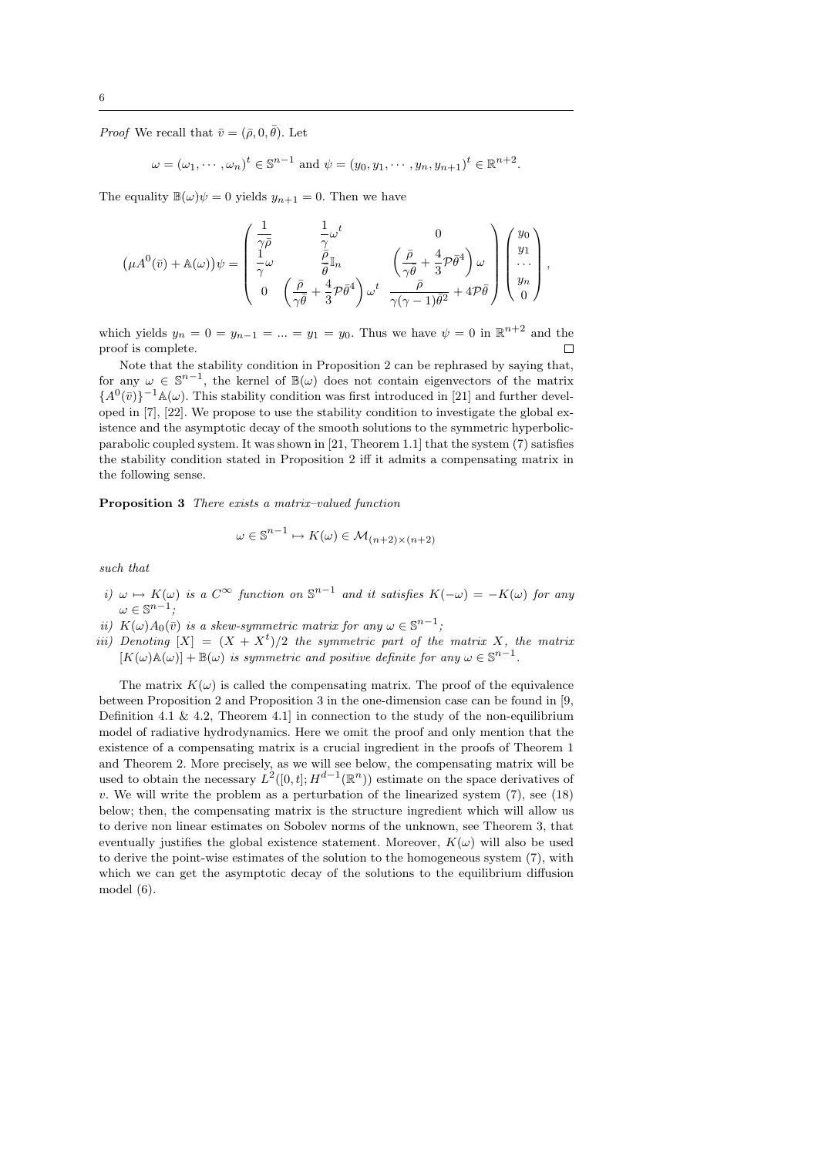*Proof* We recall that  $\bar{v} = (\bar{\rho}, 0, \bar{\theta})$ . Let

$$
\omega = (\omega_1, \dots, \omega_n)^t \in \mathbb{S}^{n-1}
$$
 and  $\psi = (y_0, y_1, \dots, y_n, y_{n+1})^t \in \mathbb{R}^{n+2}$ .

The equality  $\mathbb{B}(\omega)\psi = 0$  yields  $y_{n+1} = 0$ . Then we have

$$
\left(\mu A^{0}(\bar{v}) + \mathbb{A}(\omega)\right)\psi = \begin{pmatrix}\n\frac{1}{\gamma\bar{\rho}} & \frac{1}{\gamma}\omega^{t} & 0 \\
\frac{1}{\gamma}\omega & \frac{\bar{\rho}}{\bar{\theta}}\mathbb{I}_{n} & \left(\frac{\bar{\rho}}{\gamma\bar{\theta}} + \frac{4}{3}\mathcal{P}\bar{\theta}^{4}\right)\omega \\
0 & \left(\frac{\bar{\rho}}{\gamma\bar{\theta}} + \frac{4}{3}\mathcal{P}\bar{\theta}^{4}\right)\omega^{t} & \frac{\bar{\rho}}{\gamma(\gamma-1)\bar{\theta}^{2}} + 4\mathcal{P}\bar{\theta}\n\end{pmatrix}\begin{pmatrix}\ny_{0} \\
y_{1} \\
\vdots \\
y_{n} \\
0\n\end{pmatrix},
$$

which yields  $y_n = 0 = y_{n-1} = ... = y_1 = y_0$ . Thus we have  $\psi = 0$  in  $\mathbb{R}^{n+2}$  and the proof is complete.  $\Box$ 

Note that the stability condition in Proposition 2 can be rephrased by saying that, for any  $\omega \in \mathbb{S}^{n-1}$ , the kernel of  $\mathbb{B}(\omega)$  does not contain eigenvectors of the matrix  ${A^0(\bar{v})}\^{-1}\mathbb{A}(\omega)$ . This stability condition was first introduced in [21] and further developed in [7], [22]. We propose to use the stability condition to investigate the global existence and the asymptotic decay of the smooth solutions to the symmetric hyperbolicparabolic coupled system. It was shown in [21, Theorem 1.1] that the system (7) satisfies the stability condition stated in Proposition 2 iff it admits a compensating matrix in the following sense.

Proposition 3 There exists a matrix–valued function

$$
\omega \in \mathbb{S}^{n-1} \mapsto K(\omega) \in \mathcal{M}_{(n+2)\times (n+2)}
$$

such that

- i)  $\omega \mapsto K(\omega)$  is a  $C^{\infty}$  function on  $\mathbb{S}^{n-1}$  and it satisfies  $K(-\omega) = -K(\omega)$  for any  $\omega \in \mathbb{S}^{n-1};$
- ii)  $K(\omega)A_0(\bar{v})$  is a skew-symmetric matrix for any  $\omega \in \mathbb{S}^{n-1}$ ;
- iii) Denoting  $[X] = (X + X<sup>t</sup>)/2$  the symmetric part of the matrix X, the matrix  $[K(\omega) \mathbb{A}(\omega)] + \mathbb{B}(\omega)$  is symmetric and positive definite for any  $\omega \in \mathbb{S}^{n-1}$ .

The matrix  $K(\omega)$  is called the compensating matrix. The proof of the equivalence between Proposition 2 and Proposition 3 in the one-dimension case can be found in [9, Definition 4.1 & 4.2, Theorem 4.1 in connection to the study of the non-equilibrium model of radiative hydrodynamics. Here we omit the proof and only mention that the existence of a compensating matrix is a crucial ingredient in the proofs of Theorem 1 and Theorem 2. More precisely, as we will see below, the compensating matrix will be used to obtain the necessary  $L^2([0,t]; H^{d-1}(\mathbb{R}^n))$  estimate on the space derivatives of  $v.$  We will write the problem as a perturbation of the linearized system  $(7)$ , see  $(18)$ below; then, the compensating matrix is the structure ingredient which will allow us to derive non linear estimates on Sobolev norms of the unknown, see Theorem 3, that eventually justifies the global existence statement. Moreover,  $K(\omega)$  will also be used to derive the point-wise estimates of the solution to the homogeneous system (7), with which we can get the asymptotic decay of the solutions to the equilibrium diffusion model (6).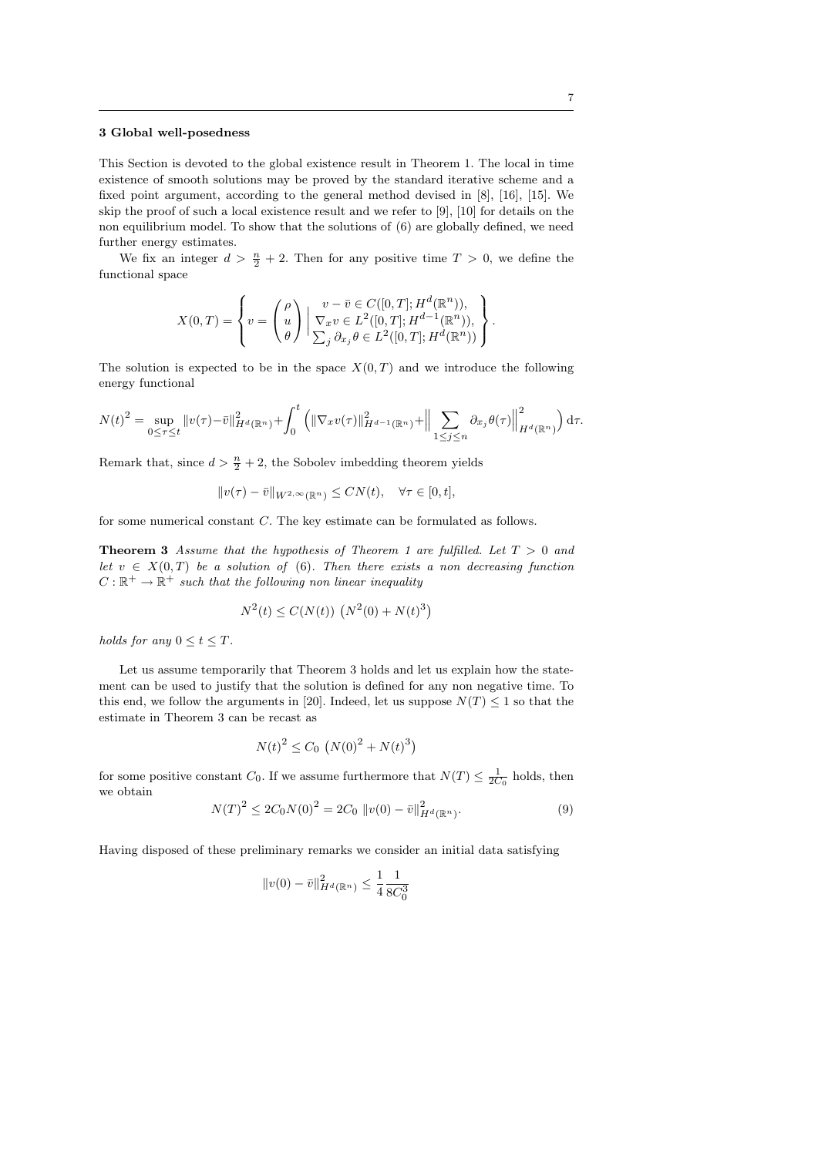#### 3 Global well-posedness

This Section is devoted to the global existence result in Theorem 1. The local in time existence of smooth solutions may be proved by the standard iterative scheme and a fixed point argument, according to the general method devised in [8], [16], [15]. We skip the proof of such a local existence result and we refer to [9], [10] for details on the non equilibrium model. To show that the solutions of (6) are globally defined, we need further energy estimates.

We fix an integer  $d > \frac{n}{2} + 2$ . Then for any positive time  $T > 0$ , we define the functional space

$$
X(0,T) = \left\{ v = \begin{pmatrix} \rho \\ u \\ \theta \end{pmatrix} \middle| \frac{v - \bar{v} \in C([0,T]; H^d(\mathbb{R}^n))}{\sum_j \partial_{x_j} \theta \in L^2([0,T]; H^{d-1}(\mathbb{R}^n))}, \right\}.
$$

The solution is expected to be in the space  $X(0,T)$  and we introduce the following energy functional

$$
N(t)^{2} = \sup_{0 \leq \tau \leq t} ||v(\tau) - \bar{v}||_{H^{d}(\mathbb{R}^{n})}^{2} + \int_{0}^{t} (||\nabla_{x}v(\tau)||_{H^{d-1}(\mathbb{R}^{n})}^{2} + ||\sum_{1 \leq j \leq n} \partial_{x_{j}}\theta(\tau)||_{H^{d}(\mathbb{R}^{n})}^{2}) d\tau.
$$

Remark that, since  $d > \frac{n}{2} + 2$ , the Sobolev imbedding theorem yields

$$
||v(\tau) - \bar{v}||_{W^{2,\infty}(\mathbb{R}^n)} \le CN(t), \quad \forall \tau \in [0, t],
$$

for some numerical constant C. The key estimate can be formulated as follows.

**Theorem 3** Assume that the hypothesis of Theorem 1 are fulfilled. Let  $T > 0$  and let  $v \in X(0,T)$  be a solution of (6). Then there exists a non decreasing function  $C: \mathbb{R}^+ \to \mathbb{R}^+$  such that the following non linear inequality

$$
N^{2}(t) \le C(N(t)) \left( N^{2}(0) + N(t)^{3} \right)
$$

holds for any  $0 \le t \le T$ .

Let us assume temporarily that Theorem 3 holds and let us explain how the statement can be used to justify that the solution is defined for any non negative time. To this end, we follow the arguments in [20]. Indeed, let us suppose  $N(T) \leq 1$  so that the estimate in Theorem 3 can be recast as

$$
N(t)^{2} \leq C_{0} \left( N(0)^{2} + N(t)^{3} \right)
$$

for some positive constant  $C_0$ . If we assume furthermore that  $N(T) \leq \frac{1}{2C_0}$  holds, then we obtain

$$
N(T)^{2} \le 2C_{0}N(0)^{2} = 2C_{0} \|v(0) - \bar{v}\|_{H^{d}(\mathbb{R}^{n})}^{2}.
$$
\n(9)

Having disposed of these preliminary remarks we consider an initial data satisfying

$$
||v(0) - \bar{v}||_{H^d(\mathbb{R}^n)}^2 \le \frac{1}{4} \frac{1}{8C_0^3}
$$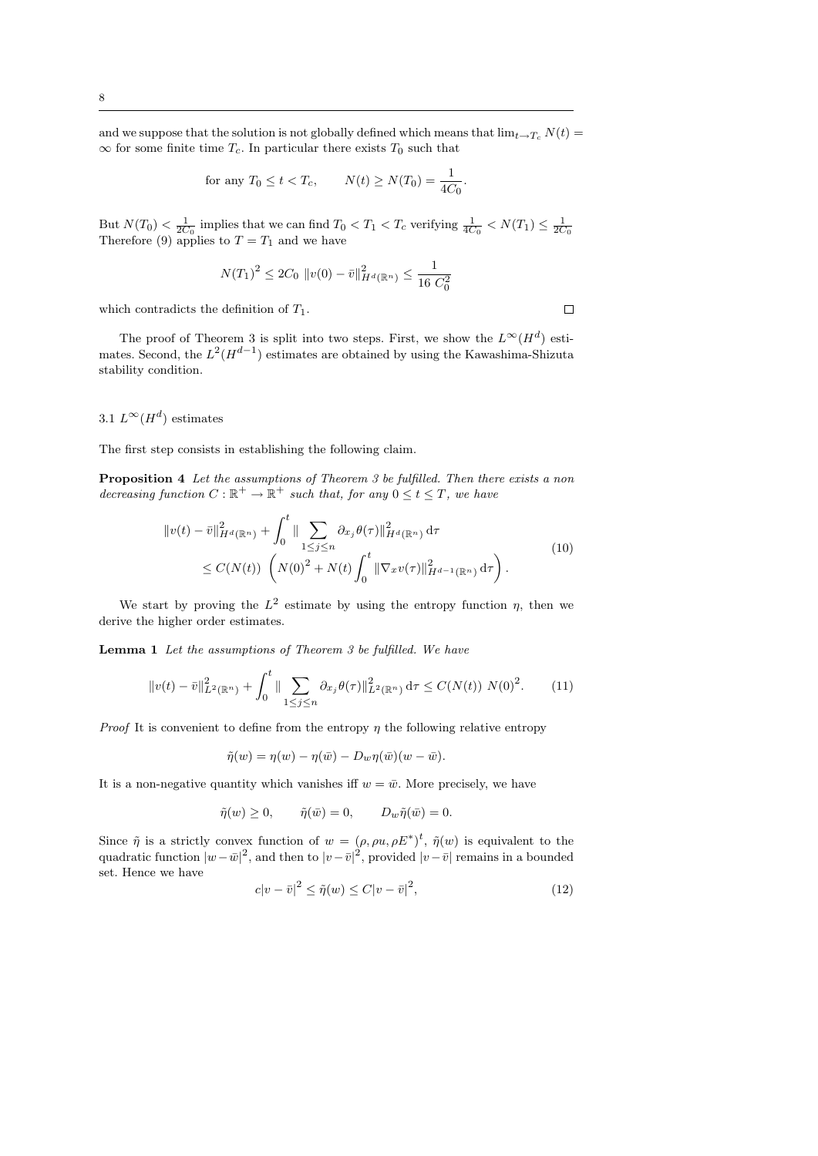and we suppose that the solution is not globally defined which means that  $\lim_{t\to T_c} N(t) =$  $\infty$  for some finite time  $T_c$ . In particular there exists  $T_0$  such that

for any 
$$
T_0 \le t < T_c
$$
,  $N(t) \ge N(T_0) = \frac{1}{4C_0}$ .

But  $N(T_0) < \frac{1}{2C_0}$  implies that we can find  $T_0 < T_1 < T_c$  verifying  $\frac{1}{4C_0} < N(T_1) \leq \frac{1}{2C_0}$ Therefore (9) applies to  $T = T_1$  and we have

$$
N(T_1)^2 \le 2C_0 \|v(0) - \bar{v}\|_{H^d(\mathbb{R}^n)}^2 \le \frac{1}{16 C_0^2}
$$

which contradicts the definition of  $T_1$ .

The proof of Theorem 3 is split into two steps. First, we show the  $L^{\infty}(H^d)$  estimates. Second, the  $L^2(H^{d-1})$  estimates are obtained by using the Kawashima-Shizuta stability condition.

# 3.1  $L^{\infty}(H^d)$  estimates

The first step consists in establishing the following claim.

Proposition 4 Let the assumptions of Theorem 3 be fulfilled. Then there exists a non decreasing function  $C : \mathbb{R}^+ \to \mathbb{R}^+$  such that, for any  $0 \le t \le T$ , we have

$$
\|v(t) - \bar{v}\|_{H^d(\mathbb{R}^n)}^2 + \int_0^t \|\sum_{1 \le j \le n} \partial_{x_j} \theta(\tau)\|_{H^d(\mathbb{R}^n)}^2 d\tau \le C(N(t)) \left(N(0)^2 + N(t) \int_0^t \|\nabla_x v(\tau)\|_{H^{d-1}(\mathbb{R}^n)}^2 d\tau\right).
$$
\n(10)

We start by proving the  $L^2$  estimate by using the entropy function  $\eta$ , then we derive the higher order estimates.

Lemma 1 Let the assumptions of Theorem 3 be fulfilled. We have

$$
||v(t) - \bar{v}||_{L^{2}(\mathbb{R}^{n})}^{2} + \int_{0}^{t} ||\sum_{1 \leq j \leq n} \partial_{x_{j}} \theta(\tau)||_{L^{2}(\mathbb{R}^{n})}^{2} d\tau \leq C(N(t)) N(0)^{2}.
$$
 (11)

*Proof* It is convenient to define from the entropy  $\eta$  the following relative entropy

$$
\tilde{\eta}(w) = \eta(w) - \eta(\bar{w}) - D_w \eta(\bar{w})(w - \bar{w}).
$$

It is a non-negative quantity which vanishes iff  $w = \bar{w}$ . More precisely, we have

$$
\tilde{\eta}(w) \ge 0, \qquad \tilde{\eta}(\bar{w}) = 0, \qquad D_w \tilde{\eta}(\bar{w}) = 0.
$$

Since  $\tilde{\eta}$  is a strictly convex function of  $w = (\rho, \rho u, \rho E^*)^t$ ,  $\tilde{\eta}(w)$  is equivalent to the quadratic function  $|w-\bar{w}|^2$ , and then to  $|v-\bar{v}|^2$ , provided  $|v-\bar{v}|$  remains in a bounded set. Hence we have

$$
c|v - \bar{v}|^2 \le \tilde{\eta}(w) \le C|v - \bar{v}|^2,\tag{12}
$$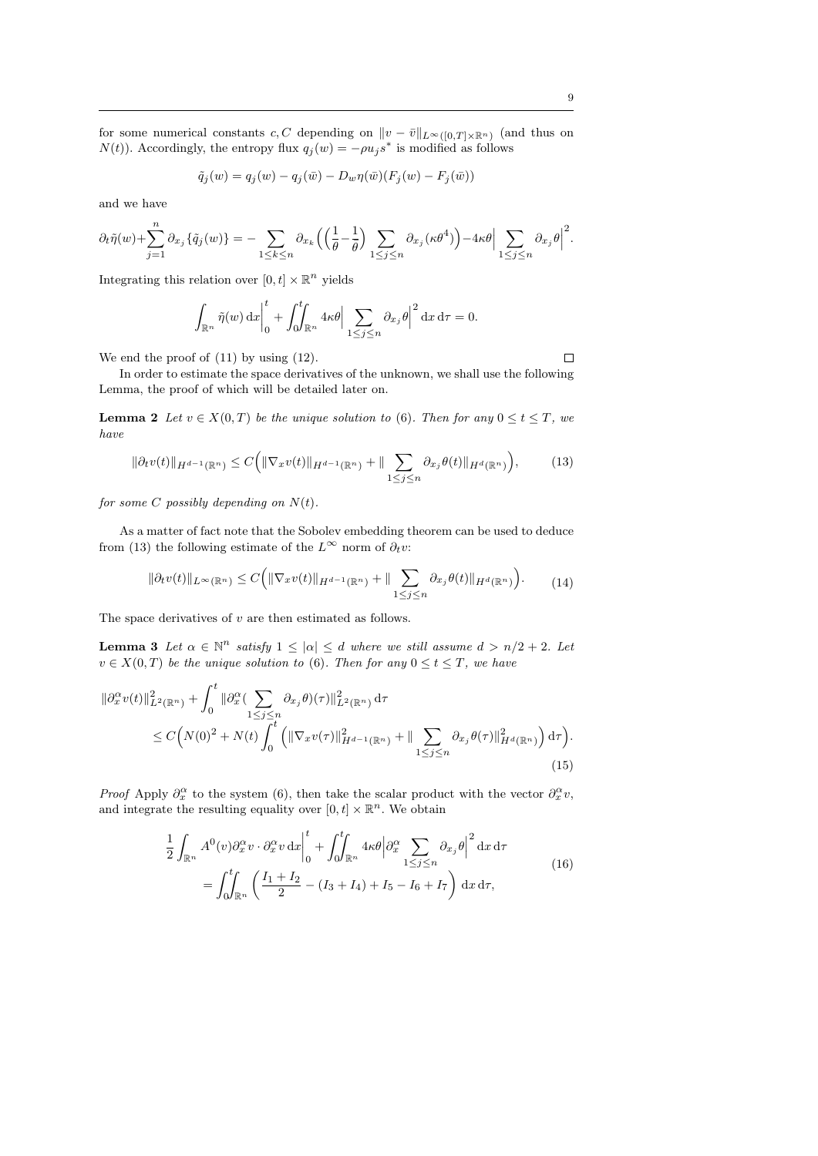for some numerical constants c, C depending on  $||v - \bar{v}||_{L^{\infty}([0,T] \times \mathbb{R}^n)}$  (and thus on  $N(t)$ ). Accordingly, the entropy flux  $q_j(w) = -\rho u_j s^*$  is modified as follows

$$
\tilde{q}_j(w) = q_j(w) - q_j(\bar{w}) - D_w \eta(\bar{w}) (F_j(w) - F_j(\bar{w}))
$$

and we have

$$
\partial_t \tilde{\eta}(w) + \sum_{j=1}^n \partial_{x_j} \{ \tilde{q}_j(w) \} = - \sum_{1 \leq k \leq n} \partial_{x_k} \left( \left( \frac{1}{\theta} - \frac{1}{\bar{\theta}} \right) \sum_{1 \leq j \leq n} \partial_{x_j} (\kappa \theta^4) \right) - 4\kappa \theta \Big| \sum_{1 \leq j \leq n} \partial_{x_j} \theta \Big|^2.
$$

Integrating this relation over  $[0, t] \times \mathbb{R}^n$  yields

$$
\int_{\mathbb{R}^n} \tilde{\eta}(w) dx \bigg|_0^t + \int_0^t \int_{\mathbb{R}^n} 4\kappa \theta \bigg| \sum_{1 \le j \le n} \partial_{x_j} \theta \bigg|^2 dx d\tau = 0.
$$

We end the proof of  $(11)$  by using  $(12)$ .

In order to estimate the space derivatives of the unknown, we shall use the following Lemma, the proof of which will be detailed later on.

**Lemma 2** Let  $v \in X(0,T)$  be the unique solution to (6). Then for any  $0 \le t \le T$ , we have

$$
\|\partial_t v(t)\|_{H^{d-1}(\mathbb{R}^n)} \le C \Big( \|\nabla_x v(t)\|_{H^{d-1}(\mathbb{R}^n)} + \|\sum_{1 \le j \le n} \partial_{x_j} \theta(t)\|_{H^d(\mathbb{R}^n)} \Big),\tag{13}
$$

for some  $C$  possibly depending on  $N(t)$ .

As a matter of fact note that the Sobolev embedding theorem can be used to deduce from (13) the following estimate of the  $L^{\infty}$  norm of  $\partial_t v$ :

$$
\|\partial_t v(t)\|_{L^\infty(\mathbb{R}^n)} \le C\Big(\|\nabla_x v(t)\|_{H^{d-1}(\mathbb{R}^n)} + \|\sum_{1 \le j \le n} \partial_{x_j} \theta(t)\|_{H^d(\mathbb{R}^n)}\Big). \tag{14}
$$

The space derivatives of  $v$  are then estimated as follows.

**Lemma 3** Let  $\alpha \in \mathbb{N}^n$  satisfy  $1 \leq |\alpha| \leq d$  where we still assume  $d > n/2 + 2$ . Let  $v \in X(0,T)$  be the unique solution to (6). Then for any  $0 \le t \le T$ , we have

$$
\|\partial_x^{\alpha} v(t)\|_{L^2(\mathbb{R}^n)}^2 + \int_0^t \|\partial_x^{\alpha} (\sum_{1 \le j \le n} \partial_{x_j} \theta)(\tau)\|_{L^2(\mathbb{R}^n)}^2 d\tau \n\le C\Big(N(0)^2 + N(t) \int_0^t \left(\|\nabla_x v(\tau)\|_{H^{d-1}(\mathbb{R}^n)}^2 + \|\sum_{1 \le j \le n} \partial_{x_j} \theta(\tau)\|_{H^d(\mathbb{R}^n)}^2\right) d\tau\Big).
$$
\n(15)

*Proof* Apply  $\partial_x^{\alpha}$  to the system (6), then take the scalar product with the vector  $\partial_x^{\alpha}v$ , and integrate the resulting equality over  $[0, t] \times \mathbb{R}^n$ . We obtain

$$
\frac{1}{2} \int_{\mathbb{R}^n} A^0(v) \partial_x^{\alpha} v \cdot \partial_x^{\alpha} v \,dx \Big|_0^t + \int_0^t \int_{\mathbb{R}^n} 4\kappa \theta \Big| \partial_x^{\alpha} \sum_{1 \le j \le n} \partial_{x_j} \theta \Big|^2 dx \,d\tau
$$
\n
$$
= \int_0^t \int_{\mathbb{R}^n} \left( \frac{I_1 + I_2}{2} - (I_3 + I_4) + I_5 - I_6 + I_7 \right) dx \,d\tau,
$$
\n(16)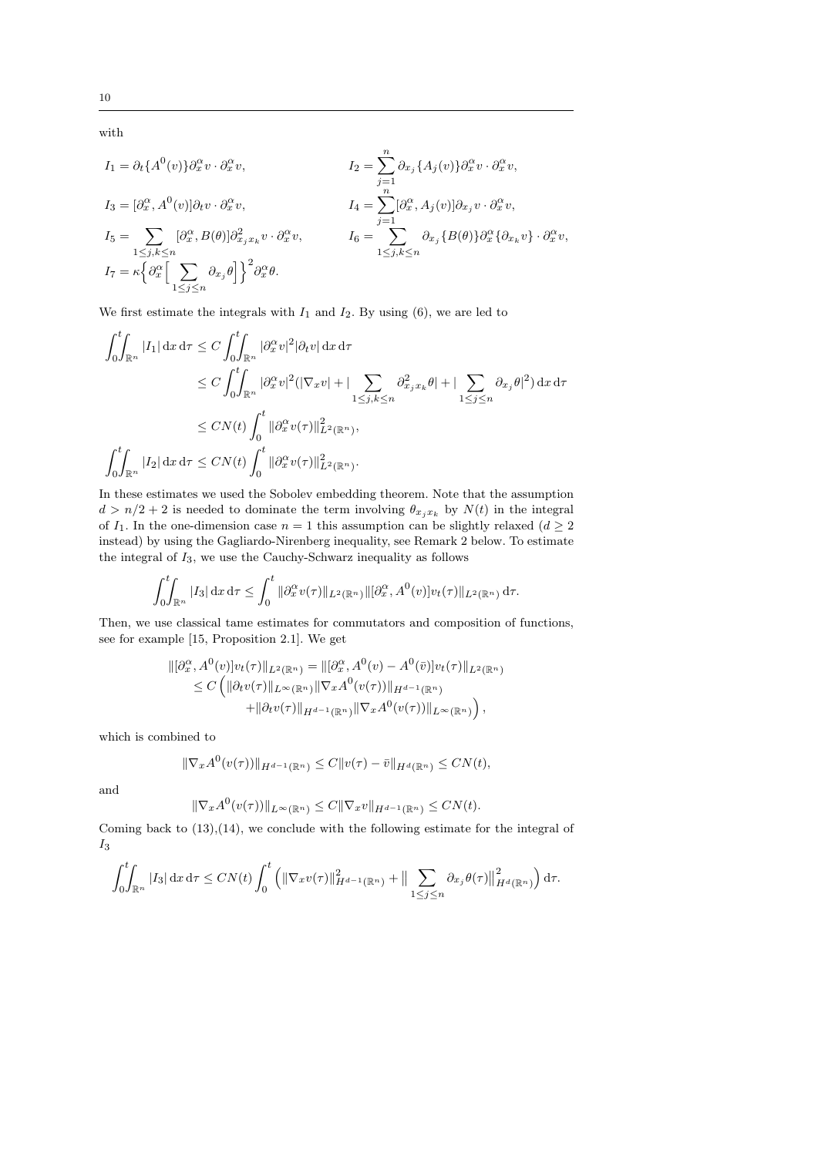$$
I_1 = \partial_t \{A^0(v)\}\partial_x^{\alpha} v \cdot \partial_x^{\alpha} v,
$$
  
\n
$$
I_2 = \sum_{j=1}^n \partial_{x_j} \{A_j(v)\}\partial_x^{\alpha} v \cdot \partial_x^{\alpha} v,
$$
  
\n
$$
I_3 = [\partial_x^{\alpha}, A^0(v)]\partial_t v \cdot \partial_x^{\alpha} v,
$$
  
\n
$$
I_4 = \sum_{j=1}^n [\partial_x^{\alpha}, A_j(v)]\partial_{x_j} v \cdot \partial_x^{\alpha} v,
$$
  
\n
$$
I_5 = \sum_{1 \le j,k \le n} [\partial_x^{\alpha}, B(\theta)]\partial_{x_j x_k}^2 v \cdot \partial_x^{\alpha} v,
$$
  
\n
$$
I_6 = \sum_{1 \le j,k \le n} \partial_{x_j} \{B(\theta)\}\partial_x^{\alpha} \{\partial_{x_k} v\} \cdot \partial_x^{\alpha} v,
$$
  
\n
$$
I_7 = \kappa \{\partial_x^{\alpha} \Big[\sum_{1 \le j \le n} \partial_{x_j} \theta\Big]\}^2 \partial_x^{\alpha} \theta.
$$

We first estimate the integrals with  $I_1$  and  $I_2$ . By using (6), we are led to

$$
\int_0^t \int_{\mathbb{R}^n} |I_1| \, dx \, d\tau \le C \int_0^t \int_{\mathbb{R}^n} |\partial_x^{\alpha} v|^2 |\partial_t v| \, dx \, d\tau
$$
  
\n
$$
\le C \int_0^t \int_{\mathbb{R}^n} |\partial_x^{\alpha} v|^2 (|\nabla_x v| + |\sum_{1 \le j,k \le n} \partial_{x_j x_k}^2 \theta| + |\sum_{1 \le j \le n} \partial_{x_j} \theta|^2) \, dx \, d\tau
$$
  
\n
$$
\le C N(t) \int_0^t ||\partial_x^{\alpha} v(\tau)||_{L^2(\mathbb{R}^n)}^2,
$$
  
\n
$$
\int_0^t \int_{\mathbb{R}^n} |I_2| \, dx \, d\tau \le CN(t) \int_0^t ||\partial_x^{\alpha} v(\tau)||_{L^2(\mathbb{R}^n)}^2.
$$

In these estimates we used the Sobolev embedding theorem. Note that the assumption  $d > n/2 + 2$  is needed to dominate the term involving  $\theta_{x_j x_k}$  by  $N(t)$  in the integral of  $I_1$ . In the one-dimension case  $n = 1$  this assumption can be slightly relaxed  $(d \geq 2)$ instead) by using the Gagliardo-Nirenberg inequality, see Remark 2 below. To estimate the integral of  $I_3$ , we use the Cauchy-Schwarz inequality as follows

$$
\int_0^t \int_{\mathbb{R}^n} |I_3| \, \mathrm{d}x \, \mathrm{d}\tau \le \int_0^t \|\partial_x^{\alpha} v(\tau)\|_{L^2(\mathbb{R}^n)} \|\big[\partial_x^{\alpha}, A^0(v)\big] v_t(\tau)\|_{L^2(\mathbb{R}^n)} \, \mathrm{d}\tau.
$$

Then, we use classical tame estimates for commutators and composition of functions, see for example [15, Proposition 2.1]. We get

$$
\begin{aligned} \|[{\partial_x^{\alpha}}, A^0(v)]v_t(\tau)\|_{L^2(\mathbb{R}^n)} &= \|[{\partial_x^{\alpha}}, A^0(v) - A^0(\bar{v})]v_t(\tau)\|_{L^2(\mathbb{R}^n)} \\ &\leq C\left(\|{\partial}_t v(\tau)\|_{L^{\infty}(\mathbb{R}^n)}\|\nabla_x A^0(v(\tau))\|_{H^{d-1}(\mathbb{R}^n)}\right. \\ &\left.+\|{\partial}_t v(\tau)\|_{H^{d-1}(\mathbb{R}^n)}\|\nabla_x A^0(v(\tau))\|_{L^{\infty}(\mathbb{R}^n)}\right), \end{aligned}
$$

which is combined to

$$
\|\nabla_x A^0(v(\tau))\|_{H^{d-1}(\mathbb{R}^n)} \leq C\|v(\tau)-\bar{v}\|_{H^d(\mathbb{R}^n)} \leq CN(t),
$$

and

$$
\|\nabla_x A^0(v(\tau))\|_{L^\infty(\mathbb{R}^n)} \leq C\|\nabla_x v\|_{H^{d-1}(\mathbb{R}^n)} \leq CN(t).
$$

Coming back to (13),(14), we conclude with the following estimate for the integral of  $\mathcal{I}_3$ 

$$
\int_0^t \int_{\mathbb{R}^n} |I_3| \, dx \, d\tau \le CN(t) \int_0^t \left( \|\nabla_x v(\tau)\|_{H^{d-1}(\mathbb{R}^n)}^2 + \|\sum_{1 \le j \le n} \partial_{x_j} \theta(\tau)\|_{H^d(\mathbb{R}^n)}^2 \right) d\tau.
$$

with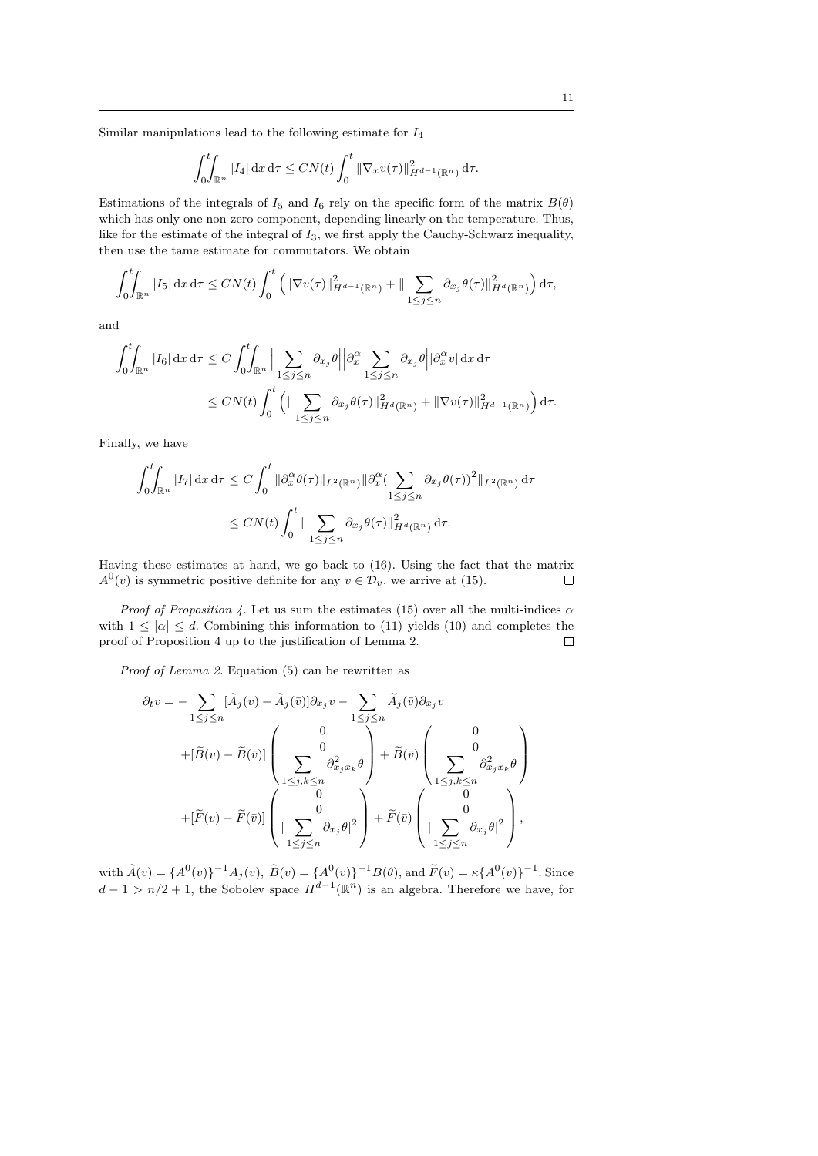Similar manipulations lead to the following estimate for  $I_4$ 

$$
\int_0^t \int_{\mathbb{R}^n} |I_4| \, \mathrm{d}x \, \mathrm{d}\tau \leq CN(t) \int_0^t \|\nabla_x v(\tau)\|_{H^{d-1}(\mathbb{R}^n)}^2 \, \mathrm{d}\tau.
$$

Estimations of the integrals of  $I_5$  and  $I_6$  rely on the specific form of the matrix  $B(\theta)$ which has only one non-zero component, depending linearly on the temperature. Thus, like for the estimate of the integral of  $I_3$ , we first apply the Cauchy-Schwarz inequality, then use the tame estimate for commutators. We obtain

$$
\int_0^t \int_{\mathbb{R}^n} |I_5| \, \mathrm{d}x \, \mathrm{d}\tau \leq CN(t) \int_0^t \left( \|\nabla v(\tau)\|_{H^{d-1}(\mathbb{R}^n)}^2 + \|\sum_{1 \leq j \leq n} \partial_{x_j} \theta(\tau)\|_{H^d(\mathbb{R}^n)}^2 \right) \mathrm{d}\tau,
$$

and

$$
\int_0^t \int_{\mathbb{R}^n} |I_6| \, dx \, d\tau \le C \int_0^t \int_{\mathbb{R}^n} \Big| \sum_{1 \le j \le n} \partial_{x_j} \theta \Big| \Big| \partial_x^{\alpha} \sum_{1 \le j \le n} \partial_{x_j} \theta \Big| \Big| \partial_x^{\alpha} v \Big| \, dx \, d\tau
$$
  

$$
\le C N(t) \int_0^t \Big( \|\sum_{1 \le j \le n} \partial_{x_j} \theta(\tau) \|^2_{H^d(\mathbb{R}^n)} + \|\nabla v(\tau) \|^2_{H^{d-1}(\mathbb{R}^n)} \Big) \, d\tau.
$$

Finally, we have

$$
\int_0^t \int_{\mathbb{R}^n} |I_7| \, dx \, d\tau \le C \int_0^t \|\partial_x^{\alpha} \theta(\tau)\|_{L^2(\mathbb{R}^n)} \|\partial_x^{\alpha} (\sum_{1 \le j \le n} \partial_{x_j} \theta(\tau))^2\|_{L^2(\mathbb{R}^n)} \, d\tau
$$
  

$$
\le C N(t) \int_0^t \|\sum_{1 \le j \le n} \partial_{x_j} \theta(\tau)\|_{H^d(\mathbb{R}^n)}^2 \, d\tau.
$$

Having these estimates at hand, we go back to (16). Using the fact that the matrix  $A^{0}(v)$  is symmetric positive definite for any  $v \in \mathcal{D}_{v}$ , we arrive at (15).  $\Box$ 

*Proof of Proposition 4.* Let us sum the estimates (15) over all the multi-indices  $\alpha$ with  $1 \leq |\alpha| \leq d$ . Combining this information to (11) yields (10) and completes the proof of Proposition 4 up to the justification of Lemma 2.  $\Box$ 

Proof of Lemma 2. Equation (5) can be rewritten as

$$
\partial_t v = -\sum_{1 \le j \le n} [\tilde{A}_j(v) - \tilde{A}_j(\bar{v})] \partial_{x_j} v - \sum_{1 \le j \le n} \tilde{A}_j(\bar{v}) \partial_{x_j} v
$$
  
+
$$
[\tilde{B}(v) - \tilde{B}(\bar{v})] \begin{pmatrix} 0 \\ 0 \\ \sum_{1 \le j,k \le n} \partial_{x_j x_k}^2 \theta \end{pmatrix} + \tilde{B}(\bar{v}) \begin{pmatrix} 0 \\ 0 \\ \sum_{1 \le j,k \le n} \partial_{x_j x_k}^2 \theta \end{pmatrix}
$$
  
+
$$
[\tilde{F}(v) - \tilde{F}(\bar{v})] \begin{pmatrix} 0 \\ 0 \\ |\sum_{1 \le j \le n} \partial_{x_j} \theta|^2 \end{pmatrix} + \tilde{F}(\bar{v}) \begin{pmatrix} 0 \\ 0 \\ |\sum_{1 \le j \le n} \partial_{x_j} \theta|^2 \end{pmatrix},
$$

with  $\widetilde{A}(v) = \{A^0(v)\}^{-1}A_j(v), \ \widetilde{B}(v) = \{A^0(v)\}^{-1}B(\theta), \text{ and } \widetilde{F}(v) = \kappa \{A^0(v)\}^{-1}.$  Since  $d-1 > n/2 + 1$ , the Sobolev space  $H^{d-1}(\mathbb{R}^n)$  is an algebra. Therefore we have, for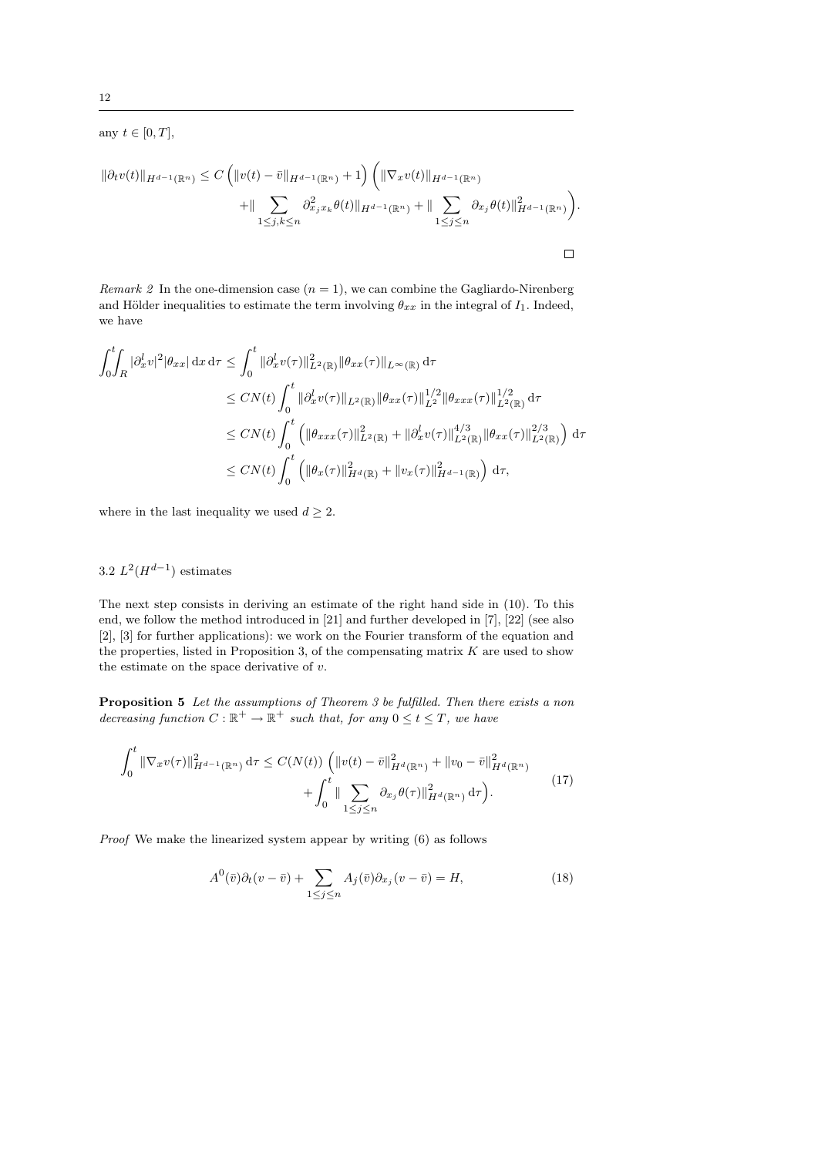any  $t \in [0, T],$ 

$$
\|\partial_t v(t)\|_{H^{d-1}(\mathbb{R}^n)} \le C \left( \|v(t) - \bar{v}\|_{H^{d-1}(\mathbb{R}^n)} + 1 \right) \left( \|\nabla_x v(t)\|_{H^{d-1}(\mathbb{R}^n)} + \|\sum_{1 \le j,k \le n} \partial_{x_j}^2 x_k \theta(t) \|_{H^{d-1}(\mathbb{R}^n)} + \|\sum_{1 \le j \le n} \partial_{x_j} \theta(t) \|_{H^{d-1}(\mathbb{R}^n)}^2 \right).
$$

Remark 2 In the one-dimension case  $(n = 1)$ , we can combine the Gagliardo-Nirenberg and Hölder inequalities to estimate the term involving  $\theta_{xx}$  in the integral of  $I_1$ . Indeed, we have

$$
\int_{0}^{t} \int_{R} |\partial_{x}^{l} v|^{2} |\theta_{xx}| \,dx \,d\tau \leq \int_{0}^{t} ||\partial_{x}^{l} v(\tau)||_{L^{2}(\mathbb{R})}^{2} \|\theta_{xx}(\tau)\|_{L^{\infty}(\mathbb{R})} \,d\tau
$$
  
\n
$$
\leq CN(t) \int_{0}^{t} ||\partial_{x}^{l} v(\tau)||_{L^{2}(\mathbb{R})} ||\theta_{xx}(\tau)||_{L^{2}}^{1/2} \|\theta_{xxx}(\tau)||_{L^{2}(\mathbb{R})}^{1/2} \,d\tau
$$
  
\n
$$
\leq CN(t) \int_{0}^{t} \left( ||\theta_{xxx}(\tau)||_{L^{2}(\mathbb{R})}^{2} + ||\partial_{x}^{l} v(\tau)||_{L^{2}(\mathbb{R})}^{4/3} \|\theta_{xx}(\tau)||_{L^{2}(\mathbb{R})}^{2/3} \right) \,d\tau
$$
  
\n
$$
\leq CN(t) \int_{0}^{t} \left( ||\theta_{x}(\tau)||_{H^{d}(\mathbb{R})}^{2} + ||v_{x}(\tau)||_{H^{d-1}(\mathbb{R})}^{2} \right) \,d\tau,
$$

where in the last inequality we used  $d \geq 2$ .

# 3.2  $L^2(H^{d-1})$  estimates

The next step consists in deriving an estimate of the right hand side in (10). To this end, we follow the method introduced in [21] and further developed in [7], [22] (see also [2], [3] for further applications): we work on the Fourier transform of the equation and the properties, listed in Proposition 3, of the compensating matrix  $K$  are used to show the estimate on the space derivative of  $v$ .

Proposition 5 Let the assumptions of Theorem 3 be fulfilled. Then there exists a non decreasing function  $C : \mathbb{R}^+ \to \mathbb{R}^+$  such that, for any  $0 \le t \le T$ , we have

$$
\int_0^t \|\nabla_x v(\tau)\|_{H^{d-1}(\mathbb{R}^n)}^2 d\tau \le C(N(t)) \left( \|v(t) - \bar{v}\|_{H^d(\mathbb{R}^n)}^2 + \|v_0 - \bar{v}\|_{H^d(\mathbb{R}^n)}^2 + \int_0^t \|\sum_{1 \le j \le n} \partial_{x_j} \theta(\tau)\|_{H^d(\mathbb{R}^n)}^2 d\tau \right). \tag{17}
$$

Proof We make the linearized system appear by writing (6) as follows

$$
A^{0}(\bar{v})\partial_{t}(v-\bar{v}) + \sum_{1 \leq j \leq n} A_{j}(\bar{v})\partial_{x_{j}}(v-\bar{v}) = H,
$$
\n(18)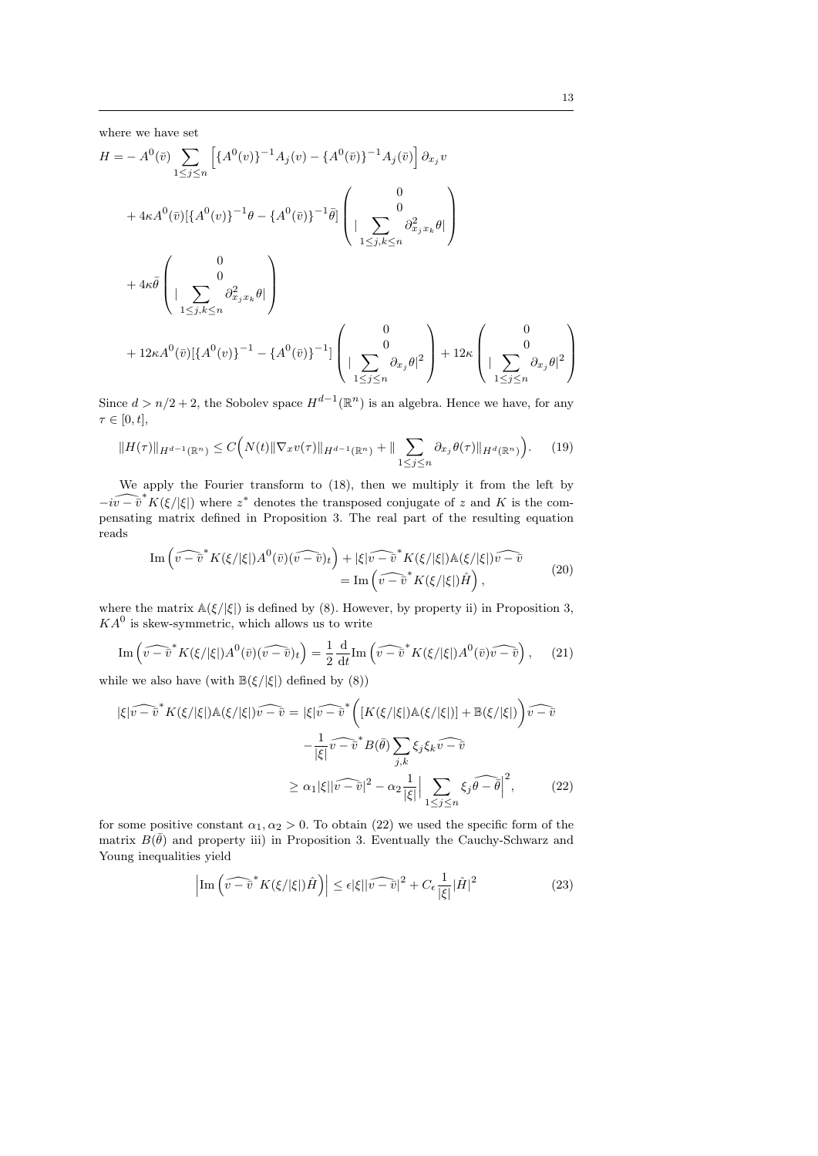$\setminus$ 

where we have set

$$
H = -A^{0}(\bar{v}) \sum_{1 \leq j \leq n} \left[ \{ A^{0}(v) \}^{-1} A_{j}(v) - \{ A^{0}(\bar{v}) \}^{-1} A_{j}(\bar{v}) \right] \partial_{x_{j}} v
$$
  
+  $4\kappa A^{0}(\bar{v}) [\{ A^{0}(v) \}^{-1} \theta - \{ A^{0}(\bar{v}) \}^{-1} \bar{\theta}] \begin{pmatrix} 0 \\ 0 \\ | \sum_{1 \leq j,k \leq n} \partial_{x_{j}x_{k}}^{2} \theta | \\ | \sum_{1 \leq j,k \leq n} \partial_{x_{j}x_{k}}^{2} \theta | \end{pmatrix}$   
+  $4\kappa \bar{\theta} \begin{pmatrix} 0 \\ | \sum_{1 \leq j,k \leq n} \partial_{x_{j}x_{k}}^{2} \theta | \\ | \sum_{1 \leq j \leq n} \partial_{x_{j}}^{2} \theta |^{2} \end{pmatrix} + 12\kappa A^{0}(\bar{v}) [\{ A^{0}(v) \}^{-1} - \{ A^{0}(\bar{v}) \}^{-1} ] \begin{pmatrix} 0 \\ | \sum_{1 \leq j \leq n} \partial_{x_{j}} \theta |^{2} \end{pmatrix} + 12\kappa \begin{pmatrix} 0 \\ | \sum_{1 \leq j \leq n} \partial_{x_{j}} \theta |^{2} \end{pmatrix}$ 

Since  $d > n/2 + 2$ , the Sobolev space  $H^{d-1}(\mathbb{R}^n)$  is an algebra. Hence we have, for any  $\tau \in [0, t],$ 

$$
||H(\tau)||_{H^{d-1}(\mathbb{R}^n)} \le C\Big(N(t)\|\nabla_x v(\tau)\|_{H^{d-1}(\mathbb{R}^n)} + \|\sum_{1 \le j \le n} \partial_{x_j}\theta(\tau)\|_{H^d(\mathbb{R}^n)}\Big). \tag{19}
$$

We apply the Fourier transform to (18), then we multiply it from the left by  $-i\widehat{v-v}$  K( $\xi/|\xi|$ ) where  $z^*$  denotes the transposed conjugate of z and K is the compensating matrix defined in Proposition 3. The real part of the resulting equation reads

$$
\operatorname{Im}\left(\widehat{v-\tilde{v}}^*K(\xi/|\xi|)A^0(\bar{v})(\widehat{v-\tilde{v}})_t\right) + |\xi|\widehat{v-\tilde{v}}^*K(\xi/|\xi|)A(\xi/|\xi|)\widehat{v-\tilde{v}}\n= \operatorname{Im}\left(\widehat{v-\tilde{v}}^*K(\xi/|\xi|)\hat{H}\right),
$$
\n(20)

where the matrix  $\mathbb{A}(\xi/|\xi|)$  is defined by (8). However, by property ii) in Proposition 3,  $KA<sup>0</sup>$  is skew-symmetric, which allows us to write

$$
\operatorname{Im}\left(\widehat{v-\tilde{v}}^*K(\xi/|\xi|)A^0(\bar{v})(\widehat{v-\tilde{v}})_t\right) = \frac{1}{2}\frac{\mathrm{d}}{\mathrm{d}t}\operatorname{Im}\left(\widehat{v-\tilde{v}}^*K(\xi/|\xi|)A^0(\bar{v})\widehat{v-\tilde{v}}\right),\tag{21}
$$

while we also have (with  $\mathbb{B}(\xi/|\xi|)$  defined by (8))

$$
|\xi|\widehat{v-\tilde{v}}^*K(\xi/|\xi|)\mathbb{A}(\xi/|\xi|)\widehat{v-\tilde{v}} = |\xi|\widehat{v-\tilde{v}}^*\bigg(\big[K(\xi/|\xi|)\mathbb{A}(\xi/|\xi|)\big] + \mathbb{B}(\xi/|\xi|)\bigg)\widehat{v-\tilde{v}}
$$

$$
-\frac{1}{|\xi|}\widehat{v-\tilde{v}}^*B(\bar{\theta})\sum_{j,k}\xi_j\xi_k\widehat{v-\tilde{v}}
$$

$$
\geq \alpha_1|\xi||\widehat{v-\tilde{v}}|^2 - \alpha_2\frac{1}{|\xi|}\Big|\sum_{1\leq j\leq n}\xi_j\widehat{\theta-\tilde{\theta}}\Big|^2,\tag{22}
$$

for some positive constant  $\alpha_1, \alpha_2 > 0$ . To obtain (22) we used the specific form of the matrix  $B(\bar{\theta})$  and property iii) in Proposition 3. Eventually the Cauchy-Schwarz and Young inequalities yield

$$
\left| \operatorname{Im} \left( \widehat{v - \bar{v}}^* K(\xi/|\xi|) \hat{H} \right) \right| \le \epsilon |\xi| |\widehat{v - \bar{v}}|^2 + C_{\epsilon} \frac{1}{|\xi|} |\hat{H}|^2 \tag{23}
$$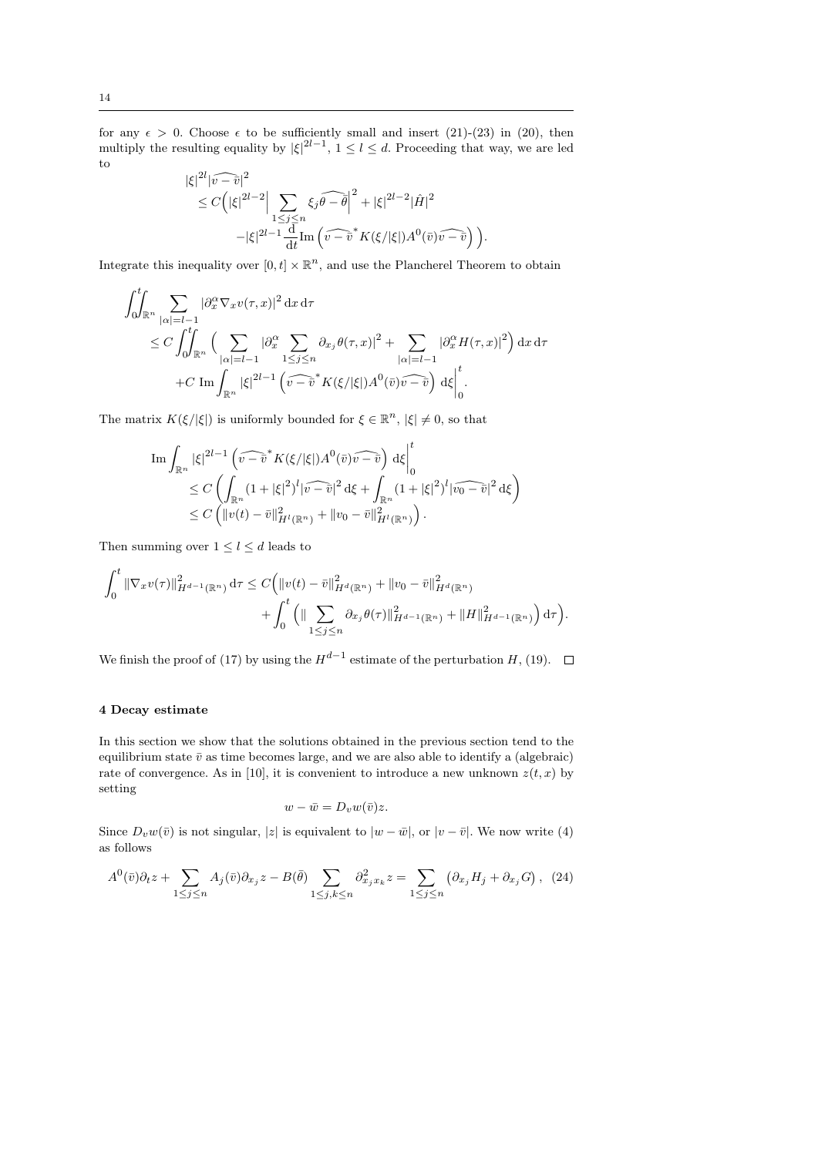for any  $\epsilon > 0$ . Choose  $\epsilon$  to be sufficiently small and insert (21)-(23) in (20), then multiply the resulting equality by  $|\xi|^{2l-1}$ ,  $1 \leq l \leq d$ . Proceeding that way, we are led to

$$
\begin{split} |\xi|^{2l} |\widehat{v-v}|^{2} &= C\Big(|\xi|^{2l-2}\Big| \sum_{1 \le j \le n} \xi_{j} \widehat{\theta-\bar{\theta}} \Big|^{2} + |\xi|^{2l-2} |\hat{H}|^{2} \\ &- |\xi|^{2l-1} \frac{\mathrm{d}}{\mathrm{d}t} \mathrm{Im} \left(\widehat{v-v}^{*} K(\xi/|\xi|) A^{0} (\bar{v}) \widehat{v-v} \right) \Big). \end{split}
$$

Integrate this inequality over  $[0, t] \times \mathbb{R}^n$ , and use the Plancherel Theorem to obtain

$$
\int_{0}^{t} \int_{\mathbb{R}^{n}} \sum_{|\alpha|=l-1} |\partial_{x}^{\alpha} \nabla_{x} v(\tau, x)|^{2} dx d\tau
$$
\n
$$
\leq C \int_{0}^{t} \int_{\mathbb{R}^{n}} \Big( \sum_{|\alpha|=l-1} |\partial_{x}^{\alpha} \sum_{1 \leq j \leq n} \partial_{x_{j}} \theta(\tau, x)|^{2} + \sum_{|\alpha|=l-1} |\partial_{x}^{\alpha} H(\tau, x)|^{2} \Big) dx d\tau
$$
\n
$$
+ C \operatorname{Im} \int_{\mathbb{R}^{n}} |\xi|^{2l-1} \Big( \widehat{v - v}^{*} K(\xi/|\xi|) A^{0}(\widehat{v}) \widehat{v - v} \Big) d\xi \Big|_{0}^{t}.
$$

The matrix  $K(\xi/|\xi|)$  is uniformly bounded for  $\xi \in \mathbb{R}^n$ ,  $|\xi| \neq 0$ , so that

$$
\operatorname{Im} \int_{\mathbb{R}^n} |\xi|^{2l-1} \left( \widehat{v-v}^* K(\xi/|\xi|) A^0(\bar{v}) \widehat{v-\bar{v}} \right) d\xi \Big|_0^t
$$
  
\n
$$
\leq C \left( \int_{\mathbb{R}^n} (1+|\xi|^2)^l |\widehat{v-\bar{v}}|^2 d\xi + \int_{\mathbb{R}^n} (1+|\xi|^2)^l |\widehat{v_0-\bar{v}}|^2 d\xi \right)
$$
  
\n
$$
\leq C \left( ||v(t)-\bar{v}||_{H^l(\mathbb{R}^n)}^2 + ||v_0-\bar{v}||_{H^l(\mathbb{R}^n)}^2 \right).
$$

Then summing over  $1 \leq l \leq d$  leads to

$$
\int_0^t \|\nabla_x v(\tau)\|_{H^{d-1}(\mathbb{R}^n)}^2 d\tau \leq C \Big( \|v(t) - \bar{v}\|_{H^d(\mathbb{R}^n)}^2 + \|v_0 - \bar{v}\|_{H^d(\mathbb{R}^n)}^2 + \int_0^t \Big( \|\sum_{1 \leq j \leq n} \partial_{x_j} \theta(\tau)\|_{H^{d-1}(\mathbb{R}^n)}^2 + \|H\|_{H^{d-1}(\mathbb{R}^n)}^2 \Big) d\tau \Big).
$$

We finish the proof of (17) by using the  $H^{d-1}$  estimate of the perturbation H, (19).

### 4 Decay estimate

In this section we show that the solutions obtained in the previous section tend to the equilibrium state  $\bar{v}$  as time becomes large, and we are also able to identify a (algebraic) rate of convergence. As in [10], it is convenient to introduce a new unknown  $z(t, x)$  by setting

$$
w - \bar{w} = D_v w(\bar{v}) z.
$$

Since  $D_vw(\bar{v})$  is not singular, |z| is equivalent to  $|w-\bar{w}|$ , or  $|v-\bar{v}|$ . We now write (4) as follows

$$
A^{0}(\bar{v})\partial_{t}z + \sum_{1 \leq j \leq n} A_{j}(\bar{v})\partial_{x_{j}}z - B(\bar{\theta}) \sum_{1 \leq j,k \leq n} \partial_{x_{j}x_{k}}^{2}z = \sum_{1 \leq j \leq n} (\partial_{x_{j}}H_{j} + \partial_{x_{j}}G), \quad (24)
$$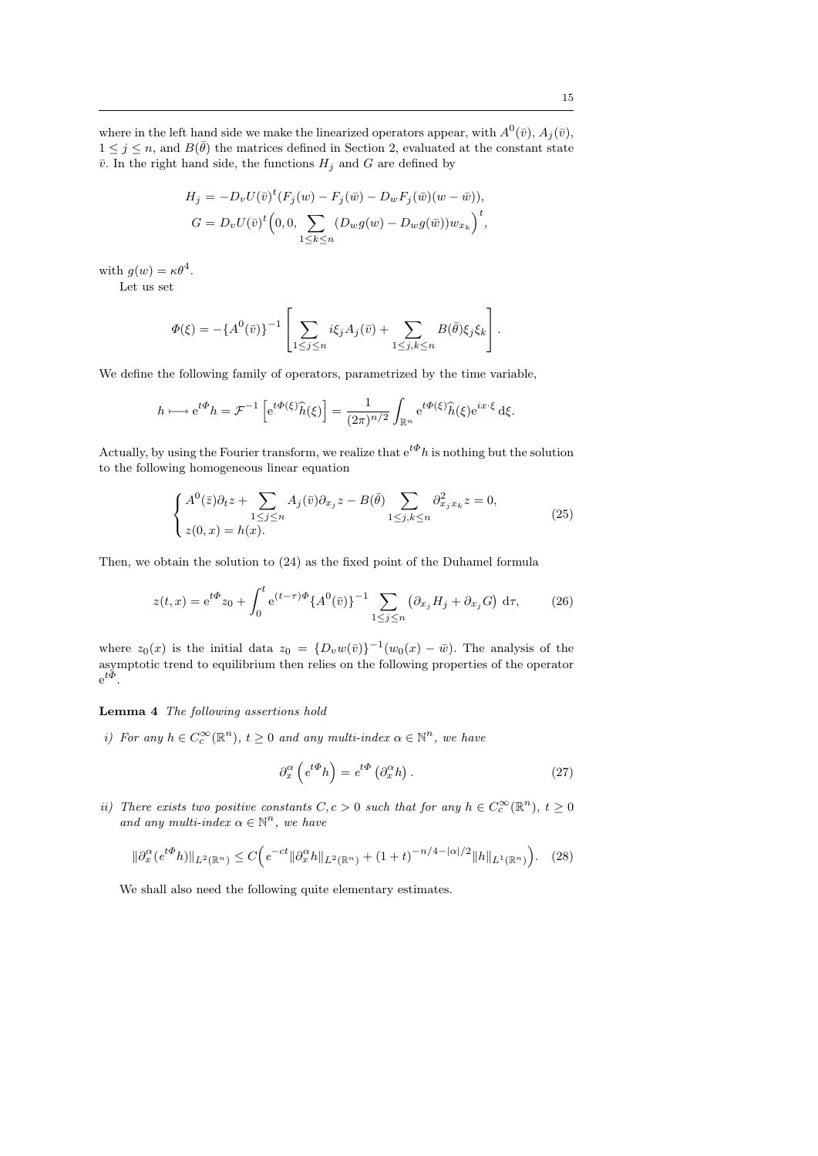where in the left hand side we make the linearized operators appear, with  $A^0(\bar{v})$ ,  $A_j(\bar{v})$ ,  $1 \leq j \leq n$ , and  $B(\bar{\theta})$  the matrices defined in Section 2, evaluated at the constant state  $\bar{v}$ . In the right hand side, the functions  $H_j$  and G are defined by

$$
H_j = -D_v U(\bar{v})^t (F_j(w) - F_j(\bar{w}) - D_w F_j(\bar{w})(w - \bar{w})),
$$
  
\n
$$
G = D_v U(\bar{v})^t (0, 0, \sum_{1 \le k \le n} (D_w g(w) - D_w g(\bar{w})) w_{x_k})^t,
$$

with  $g(w) = \kappa \theta^4$ .

Let us set

$$
\Phi(\xi) = -\{A^0(\bar{v})\}^{-1} \left[ \sum_{1 \leq j \leq n} i\xi_j A_j(\bar{v}) + \sum_{1 \leq j,k \leq n} B(\bar{\theta}) \xi_j \xi_k \right].
$$

We define the following family of operators, parametrized by the time variable.

$$
h \longmapsto e^{t\Phi} h = \mathcal{F}^{-1} \left[ e^{t\Phi(\xi)} \widehat{h}(\xi) \right] = \frac{1}{(2\pi)^{n/2}} \int_{\mathbb{R}^n} e^{t\Phi(\xi)} \widehat{h}(\xi) e^{ix \cdot \xi} d\xi.
$$

Actually, by using the Fourier transform, we realize that  $e^{t\Phi}h$  is nothing but the solution to the following homogeneous linear equation

$$
\begin{cases} A^{0}(\bar{z})\partial_{t}z + \sum_{1 \leq j \leq n} A_{j}(\bar{v})\partial_{x_{j}}z - B(\bar{\theta}) \sum_{1 \leq j,k \leq n} \partial_{x_{j}x_{k}}^{2}z = 0, \\ z(0,x) = h(x). \end{cases}
$$
(25)

Then, we obtain the solution to (24) as the fixed point of the Duhamel formula

$$
z(t,x) = e^{t\Phi} z_0 + \int_0^t e^{(t-\tau)\Phi} \{A^0(\bar{v})\}^{-1} \sum_{1 \le j \le n} \left(\partial_{x_j} H_j + \partial_{x_j} G\right) d\tau, \tag{26}
$$

where  $z_0(x)$  is the initial data  $z_0 = {D_v w(\bar{v})}^{-1} (w_0(x) - \bar{w})$ . The analysis of the asymptotic trend to equilibrium then relies on the following properties of the operator  $e^{t\Phi}$ .

### Lemma 4 The following assertions hold

i) For any  $h \in C_c^{\infty}(\mathbb{R}^n)$ ,  $t \geq 0$  and any multi-index  $\alpha \in \mathbb{N}^n$ , we have

$$
\partial_x^{\alpha} \left( e^{t\Phi} h \right) = e^{t\Phi} \left( \partial_x^{\alpha} h \right). \tag{27}
$$

ii) There exists two positive constants  $C, c > 0$  such that for any  $h \in C_c^{\infty}(\mathbb{R}^n)$ ,  $t \geq 0$ and any multi-index  $\alpha \in \mathbb{N}^n$ , we have

$$
\|\partial_x^{\alpha} (e^{t\Phi} h)\|_{L^2(\mathbb{R}^n)} \le C \Big(e^{-ct} \|\partial_x^{\alpha} h\|_{L^2(\mathbb{R}^n)} + (1+t)^{-n/4 - |\alpha|/2} \|h\|_{L^1(\mathbb{R}^n)} \Big). \tag{28}
$$

We shall also need the following quite elementary estimates.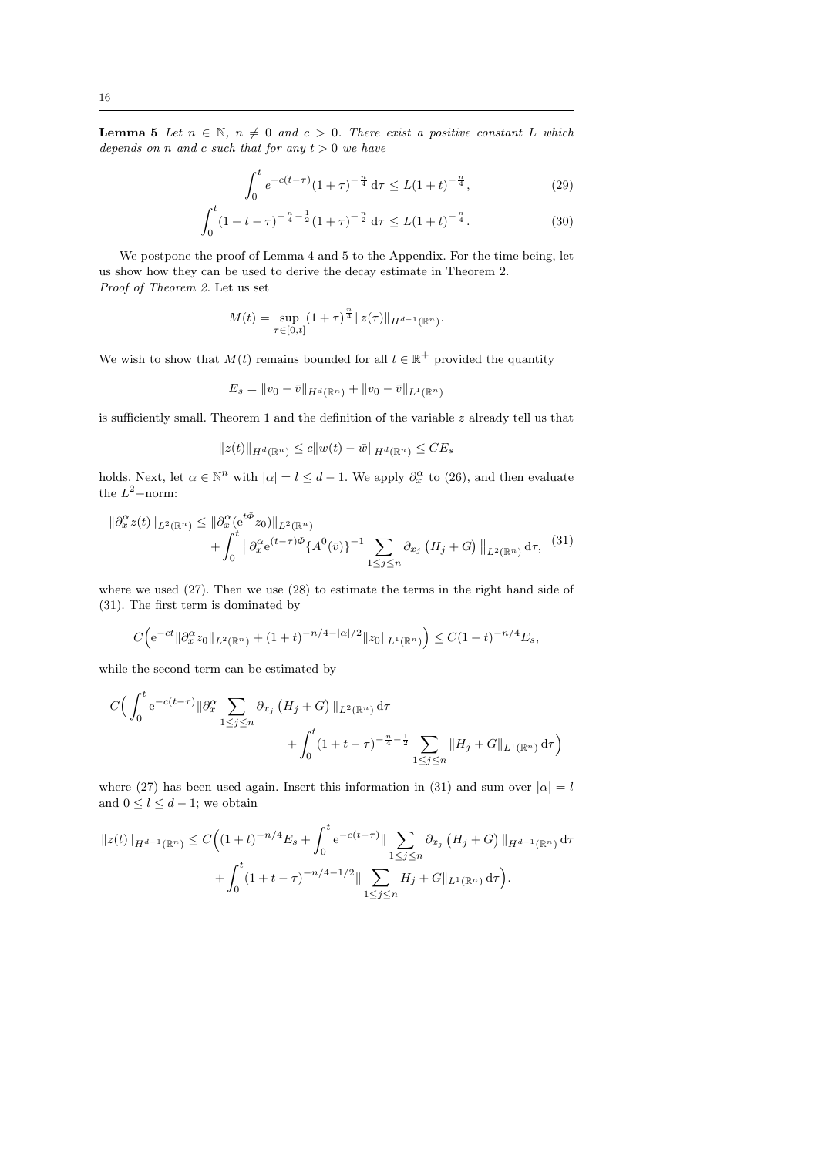**Lemma 5** Let  $n \in \mathbb{N}$ ,  $n \neq 0$  and  $c > 0$ . There exist a positive constant L which depends on n and c such that for any  $t > 0$  we have

$$
\int_0^t e^{-c(t-\tau)} (1+\tau)^{-\frac{n}{4}} d\tau \le L(1+t)^{-\frac{n}{4}},\tag{29}
$$

$$
\int_0^t (1+t-\tau)^{-\frac{n}{4}-\frac{1}{2}} (1+\tau)^{-\frac{n}{2}} d\tau \le L(1+t)^{-\frac{n}{4}}.
$$
 (30)

We postpone the proof of Lemma 4 and 5 to the Appendix. For the time being, let us show how they can be used to derive the decay estimate in Theorem 2. Proof of Theorem 2. Let us set

$$
M(t) = \sup_{\tau \in [0,t]} (1+\tau)^{\frac{n}{4}} \|z(\tau)\|_{H^{d-1}(\mathbb{R}^n)}.
$$

We wish to show that  $M(t)$  remains bounded for all  $t \in \mathbb{R}^+$  provided the quantity

$$
E_s = \|v_0 - \bar{v}\|_{H^d(\mathbb{R}^n)} + \|v_0 - \bar{v}\|_{L^1(\mathbb{R}^n)}
$$

is sufficiently small. Theorem 1 and the definition of the variable  $z$  already tell us that

$$
||z(t)||_{H^d(\mathbb{R}^n)} \le c||w(t) - \bar{w}||_{H^d(\mathbb{R}^n)} \le CE_s
$$

holds. Next, let  $\alpha \in \mathbb{N}^n$  with  $|\alpha| = l \leq d - 1$ . We apply  $\partial_x^{\alpha}$  to (26), and then evaluate the  $L^2$ -norm:

$$
\|\partial_x^{\alpha} z(t)\|_{L^2(\mathbb{R}^n)} \le \|\partial_x^{\alpha} (e^{t\Phi} z_0)\|_{L^2(\mathbb{R}^n)} + \int_0^t \|\partial_x^{\alpha} e^{(t-\tau)\Phi} \{A^0(\bar{v})\}^{-1} \sum_{1 \le j \le n} \partial_{x_j} (H_j + G) \|_{L^2(\mathbb{R}^n)} d\tau, \tag{31}
$$

where we used (27). Then we use (28) to estimate the terms in the right hand side of (31). The first term is dominated by

$$
C\Big(e^{-ct} \|\partial_x^{\alpha} z_0\|_{L^2(\mathbb{R}^n)} + (1+t)^{-n/4-|\alpha|/2} \|z_0\|_{L^1(\mathbb{R}^n)} \Big) \le C(1+t)^{-n/4} E_s,
$$

while the second term can be estimated by

$$
C\Big(\int_0^t e^{-c(t-\tau)} \|\partial_x^{\alpha} \sum_{1 \le j \le n} \partial_{x_j} (H_j + G) \|_{L^2(\mathbb{R}^n)} d\tau + \int_0^t (1 + t - \tau)^{-\frac{n}{4} - \frac{1}{2}} \sum_{1 \le j \le n} \|H_j + G\|_{L^1(\mathbb{R}^n)} d\tau\Big)
$$

where (27) has been used again. Insert this information in (31) and sum over  $|\alpha| = l$ and  $0 \leq l \leq d-1$ ; we obtain

$$
||z(t)||_{H^{d-1}(\mathbb{R}^n)} \leq C \Big( (1+t)^{-n/4} E_s + \int_0^t e^{-c(t-\tau)} \|\sum_{1 \leq j \leq n} \partial_{x_j} (H_j + G) \|_{H^{d-1}(\mathbb{R}^n)} d\tau + \int_0^t (1+t-\tau)^{-n/4-1/2} \|\sum_{1 \leq j \leq n} H_j + G \|_{L^1(\mathbb{R}^n)} d\tau \Big).
$$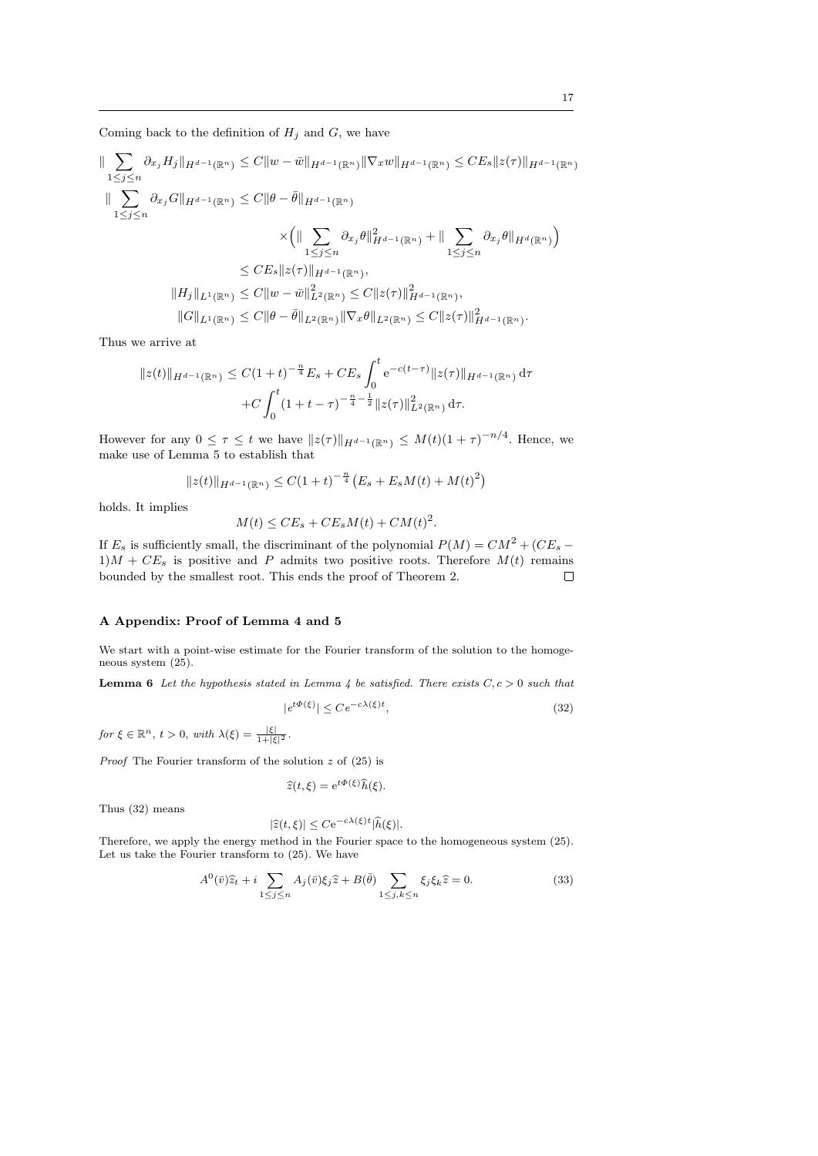Coming back to the definition of  $H_j$  and  $G$ , we have

$$
\|\sum_{1\leq j\leq n}\partial_{x_j}H_j\|_{H^{d-1}(\mathbb{R}^n)} \leq C\|w-\bar{w}\|_{H^{d-1}(\mathbb{R}^n)}\|\nabla_x w\|_{H^{d-1}(\mathbb{R}^n)} \leq CE_s\|z(\tau)\|_{H^{d-1}(\mathbb{R}^n)}
$$
  

$$
\|\sum_{1\leq j\leq n}\partial_{x_j}G\|_{H^{d-1}(\mathbb{R}^n)} \leq C\|\theta-\bar{\theta}\|_{H^{d-1}(\mathbb{R}^n)}
$$
  

$$
\times \left(\|\sum_{1\leq j\leq n}\partial_{x_j}\theta\|_{H^{d-1}(\mathbb{R}^n)}^2 + \|\sum_{1\leq j\leq n}\partial_{x_j}\theta\|_{H^{d}(\mathbb{R}^n)}\right)
$$
  

$$
\leq CE_s\|z(\tau)\|_{H^{d-1}(\mathbb{R}^n)},
$$
  

$$
\|H_j\|_{L^1(\mathbb{R}^n)} \leq C\|w-\bar{w}\|_{L^2(\mathbb{R}^n)}^2 \leq C\|z(\tau)\|_{H^{d-1}(\mathbb{R}^n)}^2,
$$
  

$$
\|G\|_{L^1(\mathbb{R}^n)} \leq C\|\theta-\bar{\theta}\|_{L^2(\mathbb{R}^n)}\|\nabla_x\theta\|_{L^2(\mathbb{R}^n)} \leq C\|z(\tau)\|_{H^{d-1}(\mathbb{R}^n)}^2.
$$

Thus we arrive at

$$
||z(t)||_{H^{d-1}(\mathbb{R}^n)} \leq C(1+t)^{-\frac{n}{4}} E_s + CE_s \int_0^t e^{-c(t-\tau)} ||z(\tau)||_{H^{d-1}(\mathbb{R}^n)} d\tau
$$

$$
+ C \int_0^t (1+t-\tau)^{-\frac{n}{4}-\frac{1}{2}} ||z(\tau)||_{L^2(\mathbb{R}^n)}^2 d\tau.
$$

However for any  $0 \leq \tau \leq t$  we have  $||z(\tau)||_{H^{d-1}(\mathbb{R}^n)} \leq M(t)(1+\tau)^{-n/4}$ . Hence, we make use of Lemma 5 to establish that

$$
||z(t)||_{H^{d-1}(\mathbb{R}^n)} \leq C(1+t)^{-\frac{n}{4}} \left( E_s + E_s M(t) + M(t)^2 \right)
$$

holds. It implies

$$
M(t) \le CE_s + CE_s M(t) + CM(t)^2.
$$

If  $E_s$  is sufficiently small, the discriminant of the polynomial  $P(M) = CM^2 + (CE_s 1)M + CE_s$  is positive and P admits two positive roots. Therefore  $M(t)$  remains bounded by the smallest root. This ends the proof of Theorem 2.  $\Box$ 

# A Appendix: Proof of Lemma 4 and 5

We start with a point-wise estimate for the Fourier transform of the solution to the homogeneous system (25).

**Lemma 6** Let the hypothesis stated in Lemma 4 be satisfied. There exists  $C, c > 0$  such that

$$
|e^{t\Phi(\xi)}| \le Ce^{-c\lambda(\xi)t},\tag{32}
$$

for  $\xi \in \mathbb{R}^n$ ,  $t > 0$ , with  $\lambda(\xi) = \frac{|\xi|}{1 + |\xi|^2}$ .

*Proof* The Fourier transform of the solution  $z$  of (25) is

$$
\widehat{z}(t,\xi) = e^{t\Phi(\xi)}\widehat{h}(\xi).
$$

Thus (32) means

$$
|\widehat{z}(t,\xi)| \leq C \mathrm{e}^{-c\lambda(\xi)t} |\widehat{h}(\xi)|.
$$

Therefore, we apply the energy method in the Fourier space to the homogeneous system (25). Let us take the Fourier transform to (25). We have

$$
A^{0}(\bar{v})\hat{z}_{t} + i \sum_{1 \leq j \leq n} A_{j}(\bar{v})\xi_{j}\hat{z} + B(\bar{\theta}) \sum_{1 \leq j,k \leq n} \xi_{j}\xi_{k}\hat{z} = 0.
$$
 (33)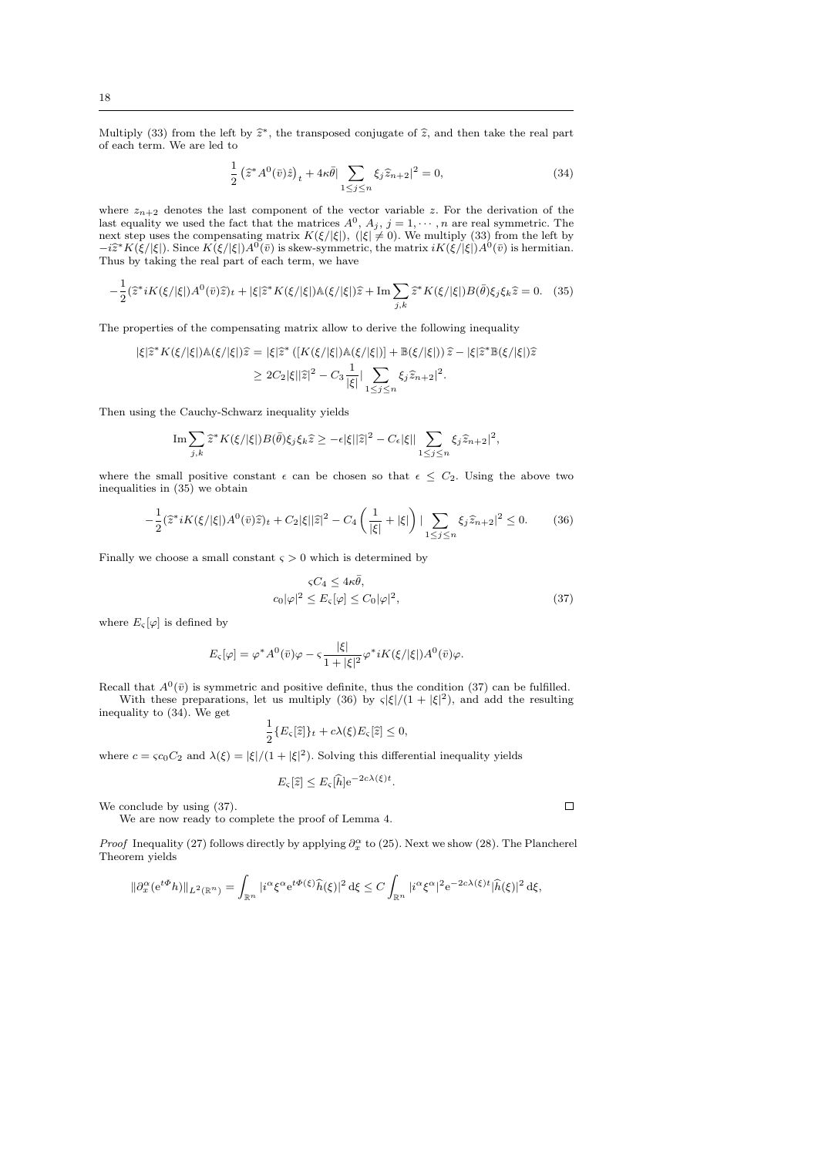Multiply (33) from the left by  $\hat{z}^*$ , the transposed conjugate of  $\hat{z}$ , and then take the real part of each term. We are led to of each term. We are led to

$$
\frac{1}{2} \left(\hat{z}^* A^0(\bar{v})\hat{z}\right)_t + 4\kappa \bar{\theta} \Big| \sum_{1 \le j \le n} \xi_j \hat{z}_{n+2} \Big|^2 = 0,\tag{34}
$$

where  $z_{n+2}$  denotes the last component of the vector variable z. For the derivation of the last equality we used the fact that the matrices  $A^0$ ,  $A_j$ ,  $j = 1, \dots, n$  are real symmetric. The next step uses the compensating matrix  $K(\xi/|\xi|),$  ( $|\xi| \neq 0$ ). We multiply (33) from the left by  $-i\hat{z}^*K(\xi/|\xi|)$ . Since  $K(\xi/|\xi|)A^0(\bar{v})$  is skew-symmetric, the matrix  $iK(\xi/|\xi|)A^0(\bar{v})$  is hermitian.<br>Thus by taking the real part of each term, we have Thus by taking the real part of each term, we have

$$
-\frac{1}{2}(\hat{z}^*iK(\xi/|\xi|)A^0(\bar{v})\hat{z})_t + |\xi|\hat{z}^*K(\xi/|\xi|)A(\xi/|\xi|)\hat{z} + \text{Im}\sum_{j,k}\hat{z}^*K(\xi/|\xi|)B(\bar{\theta})\xi_j\xi_k\hat{z} = 0. \quad (35)
$$

The properties of the compensating matrix allow to derive the following inequality

$$
\begin{aligned} |\xi|\widehat{z}^*K(\xi/|\xi|) \mathbb{A}(\xi/|\xi|) \widehat{z} &= |\xi|\widehat{z}^*\left([K(\xi/|\xi|) \mathbb{A}(\xi/|\xi|)\right] + \mathbb{B}(\xi/|\xi|)\right) \widehat{z} - |\xi|\widehat{z}^* \mathbb{B}(\xi/|\xi|) \widehat{z} \\ &\geq 2C_2|\xi||\widehat{z}|^2 - C_3 \frac{1}{|\xi|} |\sum_{1 \leq j \leq n} \xi_j \widehat{z}_{n+2}|^2. \end{aligned}
$$

Then using the Cauchy-Schwarz inequality yields

$$
\operatorname{Im} \sum_{j,k} \hat{\mathbf{z}}^* K(\xi/|\xi|) B(\bar{\theta}) \xi_j \xi_k \hat{\mathbf{z}} \ge -\epsilon |\xi| |\hat{\mathbf{z}}|^2 - C_{\epsilon} |\xi| |\sum_{1 \le j \le n} \xi_j \hat{z}_{n+2}|^2,
$$

where the small positive constant  $\epsilon$  can be chosen so that  $\epsilon \leq C_2$ . Using the above two inequalities in (35) we obtain

$$
-\frac{1}{2}(\hat{z}^*iK(\xi/|\xi|)A^0(\bar{v})\hat{z})_t + C_2|\xi||\hat{z}|^2 - C_4\left(\frac{1}{|\xi|} + |\xi|\right) \left|\sum_{1 \le j \le n} \xi_j \hat{z}_{n+2}\right|^2 \le 0. \tag{36}
$$

Finally we choose a small constant  $\varsigma>0$  which is determined by

$$
\varsigma C_4 \le 4\kappa \bar{\theta},
$$
  

$$
c_0|\varphi|^2 \le E_{\varsigma}[\varphi] \le C_0|\varphi|^2,
$$
 (37)

where  $E_{\varsigma}[\varphi]$  is defined by

$$
E_{\varsigma}[\varphi] = \varphi^* A^0(\bar{v})\varphi - \varsigma \frac{|\xi|}{1 + |\xi|^2} \varphi^* iK(\xi/|\xi|) A^0(\bar{v})\varphi.
$$

Recall that  $A^0(\bar{v})$  is symmetric and positive definite, thus the condition (37) can be fulfilled. With these preparations, let us multiply (36) by  $\varsigma |\xi|/(1 + |\xi|^2)$ , and add the resulting inequality to (34). We get

$$
\frac{1}{2}\{E_{\varsigma}[\widehat{z}]\}_{t} + c\lambda(\xi)E_{\varsigma}[\widehat{z}] \leq 0,
$$

where  $c = \varsigma c_0 C_2$  and  $\lambda(\xi) = |\xi|/(1 + |\xi|^2)$ . Solving this differential inequality yields

$$
E_{\varsigma}[\widehat{z}] \leq E_{\varsigma}[\widehat{h}] e^{-2c\lambda(\xi)t}.
$$

We conclude by using (37).

We are now ready to complete the proof of Lemma 4.

*Proof* Inequality (27) follows directly by applying  $\partial_x^{\alpha}$  to (25). Next we show (28). The Plancherel Theorem yields

$$
\|\partial_x^{\alpha}(e^{t\Phi}h)\|_{L^2(\mathbb{R}^n)} = \int_{\mathbb{R}^n} |i^{\alpha}\xi^{\alpha}e^{t\Phi(\xi)}\widehat{h}(\xi)|^2 d\xi \le C \int_{\mathbb{R}^n} |i^{\alpha}\xi^{\alpha}|^2 e^{-2c\lambda(\xi)t}|\widehat{h}(\xi)|^2 d\xi,
$$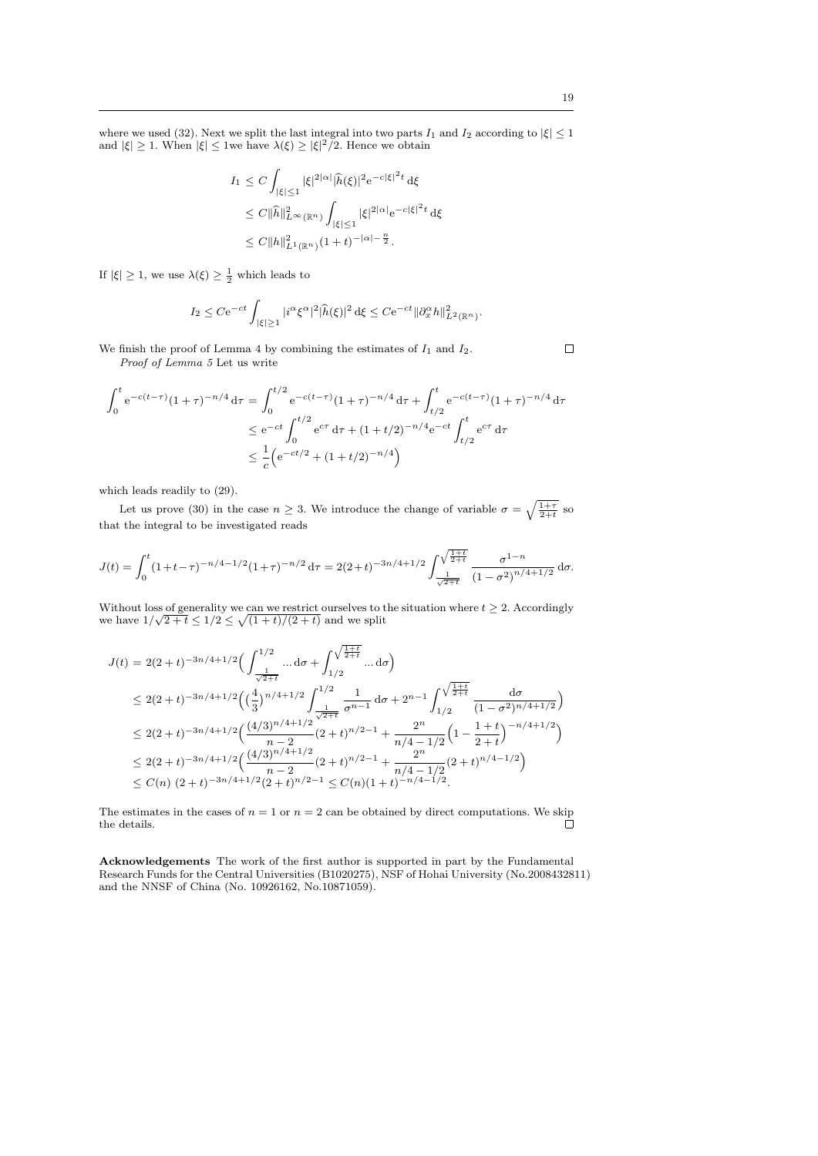$$
I_1 \leq C \int_{|\xi| \leq 1} |\xi|^{2|\alpha|} |\widehat{h}(\xi)|^2 e^{-c|\xi|^2 t} d\xi
$$
  
\n
$$
\leq C \|\widehat{h}\|_{L^{\infty}(\mathbb{R}^n)}^2 \int_{|\xi| \leq 1} |\xi|^{2|\alpha|} e^{-c|\xi|^2 t} d\xi
$$
  
\n
$$
\leq C \|h\|_{L^1(\mathbb{R}^n)}^2 (1+t)^{-|\alpha|-\frac{n}{2}}.
$$

If  $|\xi| \geq 1$ , we use  $\lambda(\xi) \geq \frac{1}{2}$  which leads to

$$
I_2 \leq C \mathrm{e}^{-ct} \int_{|\xi| \geq 1} |i^{\alpha} \xi^{\alpha}|^2 |\widehat{h}(\xi)|^2 \, \mathrm{d}\xi \leq C \mathrm{e}^{-ct} ||\partial_x^{\alpha} h||^2_{L^2(\mathbb{R}^n)}.
$$

We finish the proof of Lemma 4 by combining the estimates of  $I_1$  and  $I_2$ .

Proof of Lemma 5 Let us write

$$
\int_0^t e^{-c(t-\tau)} (1+\tau)^{-n/4} d\tau = \int_0^{t/2} e^{-c(t-\tau)} (1+\tau)^{-n/4} d\tau + \int_{t/2}^t e^{-c(t-\tau)} (1+\tau)^{-n/4} d\tau
$$
  

$$
\leq e^{-ct} \int_0^{t/2} e^{c\tau} d\tau + (1+t/2)^{-n/4} e^{-ct} \int_{t/2}^t e^{c\tau} d\tau
$$
  

$$
\leq \frac{1}{c} \left( e^{-ct/2} + (1+t/2)^{-n/4} \right)
$$

which leads readily to (29).

Let us prove (30) in the case  $n \geq 3$ . We introduce the change of variable  $\sigma = \sqrt{\frac{1+\tau}{2+t}}$  so that the integral to be investigated reads

$$
J(t) = \int_0^t (1+t-\tau)^{-n/4-1/2} (1+\tau)^{-n/2} d\tau = 2(2+t)^{-3n/4+1/2} \int_{\frac{1}{\sqrt{2+t}}}^{\sqrt{\frac{1+t}{2+t}}} \frac{\sigma^{1-n}}{(1-\sigma^2)^{n/4+1/2}} d\sigma.
$$

Without loss of generality we can we restrict ourselves to the situation where  $t \geq 2$ . Accordingly without loss of generality we can we restrict ourselves to the split we have  $1/\sqrt{2}+t \leq 1/2 \leq \sqrt{(1+t)/(2+t)}$  and we split

$$
J(t) = 2(2+t)^{-3n/4+1/2} \Big( \int_{\frac{1}{\sqrt{2+t}}}^{\frac{1}{2}} \dots d\sigma + \int_{1/2}^{\sqrt{\frac{1+t}{2+t}}} \dots d\sigma \Big)
$$
  
\n
$$
\leq 2(2+t)^{-3n/4+1/2} \Big( \left(\frac{4}{3}\right)^{n/4+1/2} \int_{\frac{1}{\sqrt{2+t}}}^{\frac{1}{2+t}} \frac{1}{\sigma^{n-1}} d\sigma + 2^{n-1} \int_{1/2}^{\sqrt{\frac{1+t}{2+t}}} \frac{d\sigma}{(1-\sigma^2)^{n/4+1/2}} \Big)
$$
  
\n
$$
\leq 2(2+t)^{-3n/4+1/2} \Big( \frac{(4/3)^{n/4+1/2}}{n-2} (2+t)^{n/2-1} + \frac{2^n}{n/4-1/2} \Big( 1 - \frac{1+t}{2+t} \Big)^{-n/4+1/2} \Big)
$$
  
\n
$$
\leq 2(2+t)^{-3n/4+1/2} \Big( \frac{(4/3)^{n/4+1/2}}{n-2} (2+t)^{n/2-1} + \frac{2^n}{n/4-1/2} (2+t)^{n/4-1/2} \Big)
$$
  
\n
$$
\leq C(n) (2+t)^{-3n/4+1/2} (2+t)^{n/2-1} \leq C(n) (1+t)^{-n/4-1/2}.
$$

The estimates in the cases of  $n = 1$  or  $n = 2$  can be obtained by direct computations. We skip the details the details.

Acknowledgements The work of the first author is supported in part by the Fundamental Research Funds for the Central Universities (B1020275), NSF of Hohai University (No.2008432811) and the NNSF of China (No. 10926162, No.10871059).